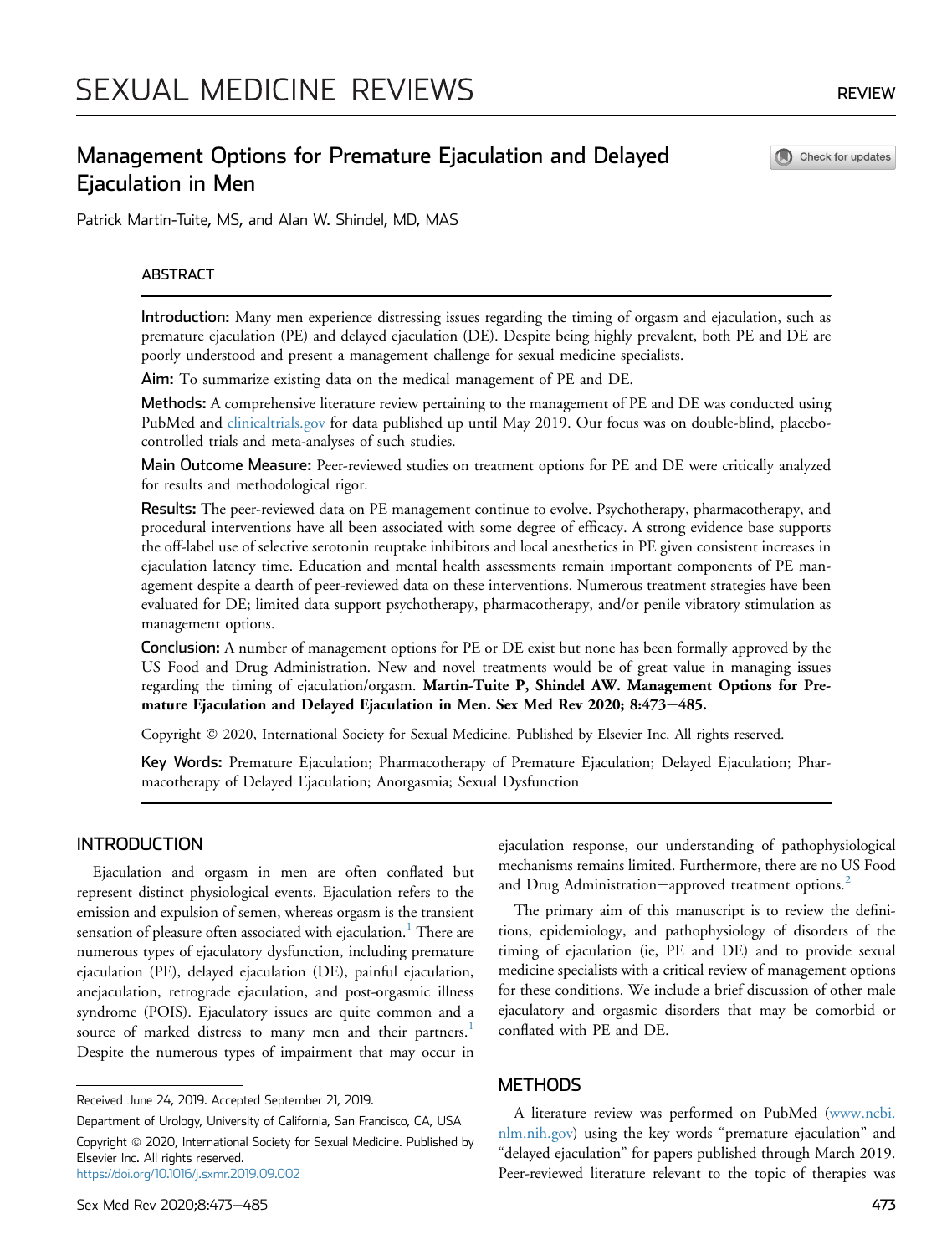Check for updates

# Management Options for Premature Ejaculation and Delayed Ejaculation in Men

Patrick Martin-Tuite, MS, and Alan W. Shindel, MD, MAS

# ABSTRACT

Introduction: Many men experience distressing issues regarding the timing of orgasm and ejaculation, such as premature ejaculation (PE) and delayed ejaculation (DE). Despite being highly prevalent, both PE and DE are poorly understood and present a management challenge for sexual medicine specialists.

Aim: To summarize existing data on the medical management of PE and DE.

Methods: A comprehensive literature review pertaining to the management of PE and DE was conducted using PubMed and [clinicaltrials.gov](http://clinicaltrials.gov) for data published up until May 2019. Our focus was on double-blind, placebocontrolled trials and meta-analyses of such studies.

Main Outcome Measure: Peer-reviewed studies on treatment options for PE and DE were critically analyzed for results and methodological rigor.

Results: The peer-reviewed data on PE management continue to evolve. Psychotherapy, pharmacotherapy, and procedural interventions have all been associated with some degree of efficacy. A strong evidence base supports the off-label use of selective serotonin reuptake inhibitors and local anesthetics in PE given consistent increases in ejaculation latency time. Education and mental health assessments remain important components of PE management despite a dearth of peer-reviewed data on these interventions. Numerous treatment strategies have been evaluated for DE; limited data support psychotherapy, pharmacotherapy, and/or penile vibratory stimulation as management options.

Conclusion: A number of management options for PE or DE exist but none has been formally approved by the US Food and Drug Administration. New and novel treatments would be of great value in managing issues regarding the timing of ejaculation/orgasm. Martin-Tuite P, Shindel AW. Management Options for Premature Ejaculation and Delayed Ejaculation in Men. Sex Med Rev 2020; 8:473-485.

Copyright 2020, International Society for Sexual Medicine. Published by Elsevier Inc. All rights reserved.

Key Words: Premature Ejaculation; Pharmacotherapy of Premature Ejaculation; Delayed Ejaculation; Pharmacotherapy of Delayed Ejaculation; Anorgasmia; Sexual Dysfunction

# **INTRODUCTION**

Ejaculation and orgasm in men are often conflated but represent distinct physiological events. Ejaculation refers to the emission and expulsion of semen, whereas orgasm is the transient sensation of pleasure often associated with ejaculation.<sup>[1](#page-8-0)</sup> There are numerous types of ejaculatory dysfunction, including premature ejaculation (PE), delayed ejaculation (DE), painful ejaculation, anejaculation, retrograde ejaculation, and post-orgasmic illness syndrome (POIS). Ejaculatory issues are quite common and a source of marked distress to many men and their partners.<sup>[1](#page-8-0)</sup> Despite the numerous types of impairment that may occur in

Department of Urology, University of California, San Francisco, CA, USA Copyright @ 2020, International Society for Sexual Medicine. Published by Elsevier Inc. All rights reserved. <https://doi.org/10.1016/j.sxmr.2019.09.002>

ejaculation response, our understanding of pathophysiological mechanisms remains limited. Furthermore, there are no US Food and Drug Administration-approved treatment options.<sup>[2](#page-8-1)</sup>

The primary aim of this manuscript is to review the definitions, epidemiology, and pathophysiology of disorders of the timing of ejaculation (ie, PE and DE) and to provide sexual medicine specialists with a critical review of management options for these conditions. We include a brief discussion of other male ejaculatory and orgasmic disorders that may be comorbid or conflated with PE and DE.

# **METHODS**

A literature review was performed on PubMed ([www.ncbi.](http://www.ncbi.nlm.nih.gov) [nlm.nih.gov](http://www.ncbi.nlm.nih.gov)) using the key words "premature ejaculation" and "delayed ejaculation" for papers published through March 2019. Peer-reviewed literature relevant to the topic of therapies was

Received June 24, 2019. Accepted September 21, 2019.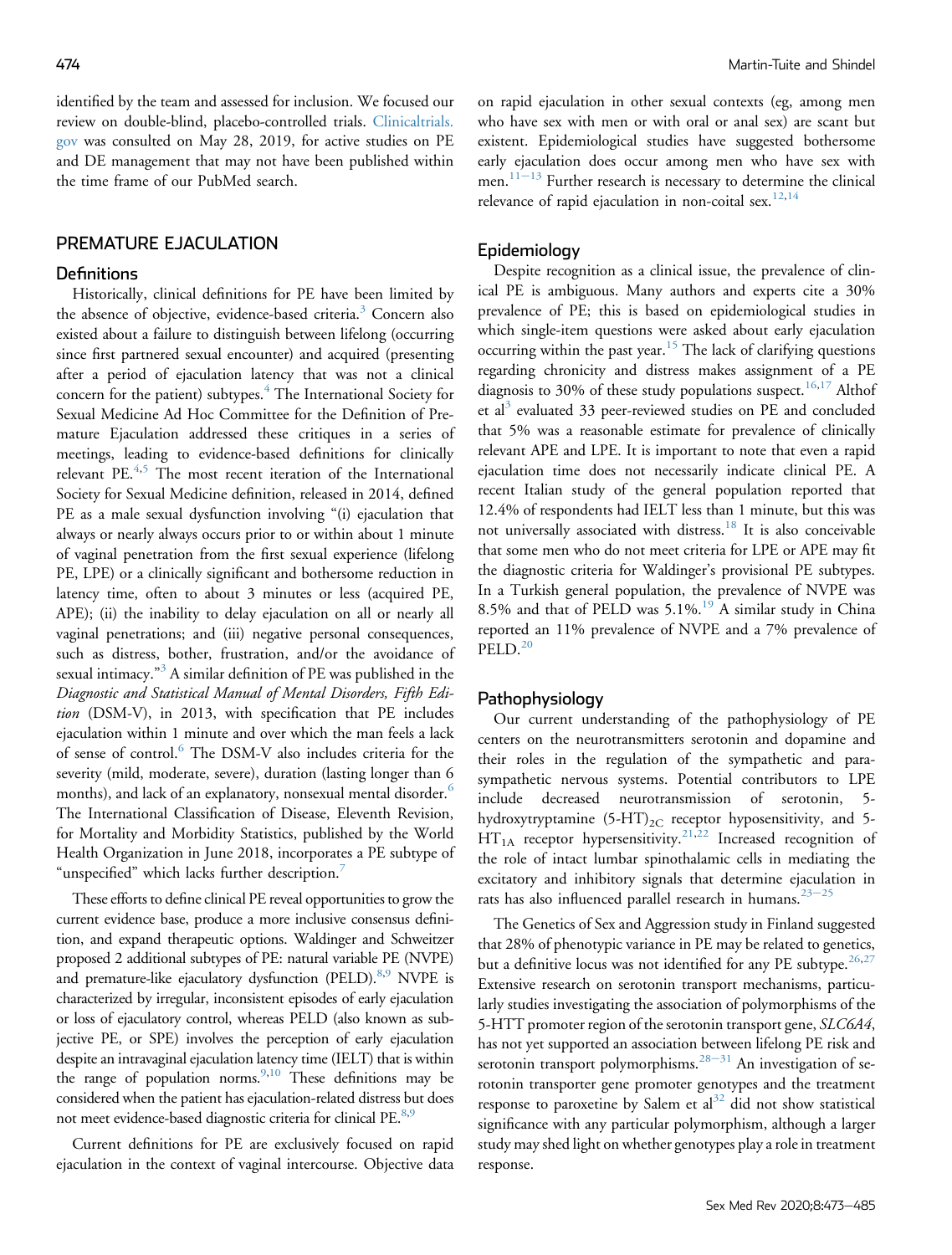identified by the team and assessed for inclusion. We focused our review on double-blind, placebo-controlled trials. [Clinicaltrials.](http://Clinicaltrials.gov) [gov](http://Clinicaltrials.gov) was consulted on May 28, 2019, for active studies on PE and DE management that may not have been published within the time frame of our PubMed search.

# PREMATURE EJACULATION

# **Definitions**

Historically, clinical definitions for PE have been limited by the absence of objective, evidence-based criteria.<sup>[3](#page-8-2)</sup> Concern also existed about a failure to distinguish between lifelong (occurring since first partnered sexual encounter) and acquired (presenting after a period of ejaculation latency that was not a clinical concern for the patient) subtypes.<sup>[4](#page-8-3)</sup> The International Society for Sexual Medicine Ad Hoc Committee for the Definition of Premature Ejaculation addressed these critiques in a series of meetings, leading to evidence-based definitions for clinically relevant PE.<sup>[4](#page-8-3),[5](#page-8-4)</sup> The most recent iteration of the International Society for Sexual Medicine definition, released in 2014, defined PE as a male sexual dysfunction involving "(i) ejaculation that always or nearly always occurs prior to or within about 1 minute of vaginal penetration from the first sexual experience (lifelong PE, LPE) or a clinically significant and bothersome reduction in latency time, often to about 3 minutes or less (acquired PE, APE); (ii) the inability to delay ejaculation on all or nearly all vaginal penetrations; and (iii) negative personal consequences, such as distress, bother, frustration, and/or the avoidance of sexual intimacy." [3](#page-8-2) A similar definition of PE was published in the Diagnostic and Statistical Manual of Mental Disorders, Fifth Edition (DSM-V), in 2013, with specification that PE includes ejaculation within 1 minute and over which the man feels a lack of sense of control.<sup>[6](#page-8-5)</sup> The DSM-V also includes criteria for the severity (mild, moderate, severe), duration (lasting longer than 6 months), and lack of an explanatory, nonsexual mental disorder.<sup>[6](#page-8-5)</sup> The International Classification of Disease, Eleventh Revision, for Mortality and Morbidity Statistics, published by the World Health Organization in June 2018, incorporates a PE subtype of "unspecified" which lacks further description.<sup>[7](#page-8-6)</sup>

These efforts to define clinical PE reveal opportunities to grow the current evidence base, produce a more inclusive consensus definition, and expand therapeutic options. Waldinger and Schweitzer proposed 2 additional subtypes of PE: natural variable PE (NVPE) and premature-like ejaculatory dysfunction (PELD).<sup>8[,9](#page-8-8)</sup> NVPE is characterized by irregular, inconsistent episodes of early ejaculation or loss of ejaculatory control, whereas PELD (also known as subjective PE, or SPE) involves the perception of early ejaculation despite an intravaginal ejaculation latency time (IELT) that is within the range of population norms. <sup>[9](#page-8-8)[,10](#page-8-9)</sup> These definitions may be considered when the patient has ejaculation-related distress but does not meet evidence-based diagnostic criteria for clinical PE.<sup>8[,9](#page-8-8)</sup>

Current definitions for PE are exclusively focused on rapid ejaculation in the context of vaginal intercourse. Objective data on rapid ejaculation in other sexual contexts (eg, among men who have sex with men or with oral or anal sex) are scant but existent. Epidemiological studies have suggested bothersome early ejaculation does occur among men who have sex with men.<sup>[11](#page-8-10)-[13](#page-8-10)</sup> Further research is necessary to determine the clinical relevance of rapid ejaculation in non-coital sex.<sup>[12](#page-8-11)[,14](#page-8-12)</sup>

### Epidemiology

Despite recognition as a clinical issue, the prevalence of clinical PE is ambiguous. Many authors and experts cite a 30% prevalence of PE; this is based on epidemiological studies in which single-item questions were asked about early ejaculation occurring within the past year.[15](#page-8-13) The lack of clarifying questions regarding chronicity and distress makes assignment of a PE diagnosis to 30% of these study populations suspect.<sup>[16,](#page-8-14)[17](#page-8-15)</sup> Althof et al<sup>[3](#page-8-2)</sup> evaluated 33 peer-reviewed studies on PE and concluded that 5% was a reasonable estimate for prevalence of clinically relevant APE and LPE. It is important to note that even a rapid ejaculation time does not necessarily indicate clinical PE. A recent Italian study of the general population reported that 12.4% of respondents had IELT less than 1 minute, but this was not universally associated with distress.<sup>18</sup> It is also conceivable that some men who do not meet criteria for LPE or APE may fit the diagnostic criteria for Waldinger's provisional PE subtypes. In a Turkish general population, the prevalence of NVPE was 8.5% and that of PELD was  $5.1\%$ .<sup>[19](#page-8-17)</sup> A similar study in China reported an 11% prevalence of NVPE and a 7% prevalence of  $PELD<sup>20</sup>$  $PELD<sup>20</sup>$  $PELD<sup>20</sup>$ 

# Pathophysiology

Our current understanding of the pathophysiology of PE centers on the neurotransmitters serotonin and dopamine and their roles in the regulation of the sympathetic and parasympathetic nervous systems. Potential contributors to LPE include decreased neurotransmission of serotonin, 5 hydroxytryptamine  $(5-HT)_{2C}$  receptor hyposensitivity, and 5- $HT_{1A}$  receptor hypersensitivity.<sup>[21,](#page-8-19)[22](#page-8-20)</sup> Increased recognition of the role of intact lumbar spinothalamic cells in mediating the excitatory and inhibitory signals that determine ejaculation in rats has also influenced parallel research in humans.<sup>[23](#page-8-21)-[25](#page-8-21)</sup>

The Genetics of Sex and Aggression study in Finland suggested that 28% of phenotypic variance in PE may be related to genetics, but a definitive locus was not identified for any PE subtype. $26,27$  $26,27$ Extensive research on serotonin transport mechanisms, particularly studies investigating the association of polymorphisms of the 5-HTT promoter region of the serotonin transport gene, SLC6A4, has not yet supported an association between lifelong PE risk and serotonin transport polymorphisms.<sup>[28](#page-8-24)-[31](#page-8-24)</sup> An investigation of serotonin transporter gene promoter genotypes and the treatment response to paroxetine by Salem et  $al<sup>32</sup>$  $al<sup>32</sup>$  $al<sup>32</sup>$  did not show statistical significance with any particular polymorphism, although a larger study may shed light on whether genotypes play a role in treatment response.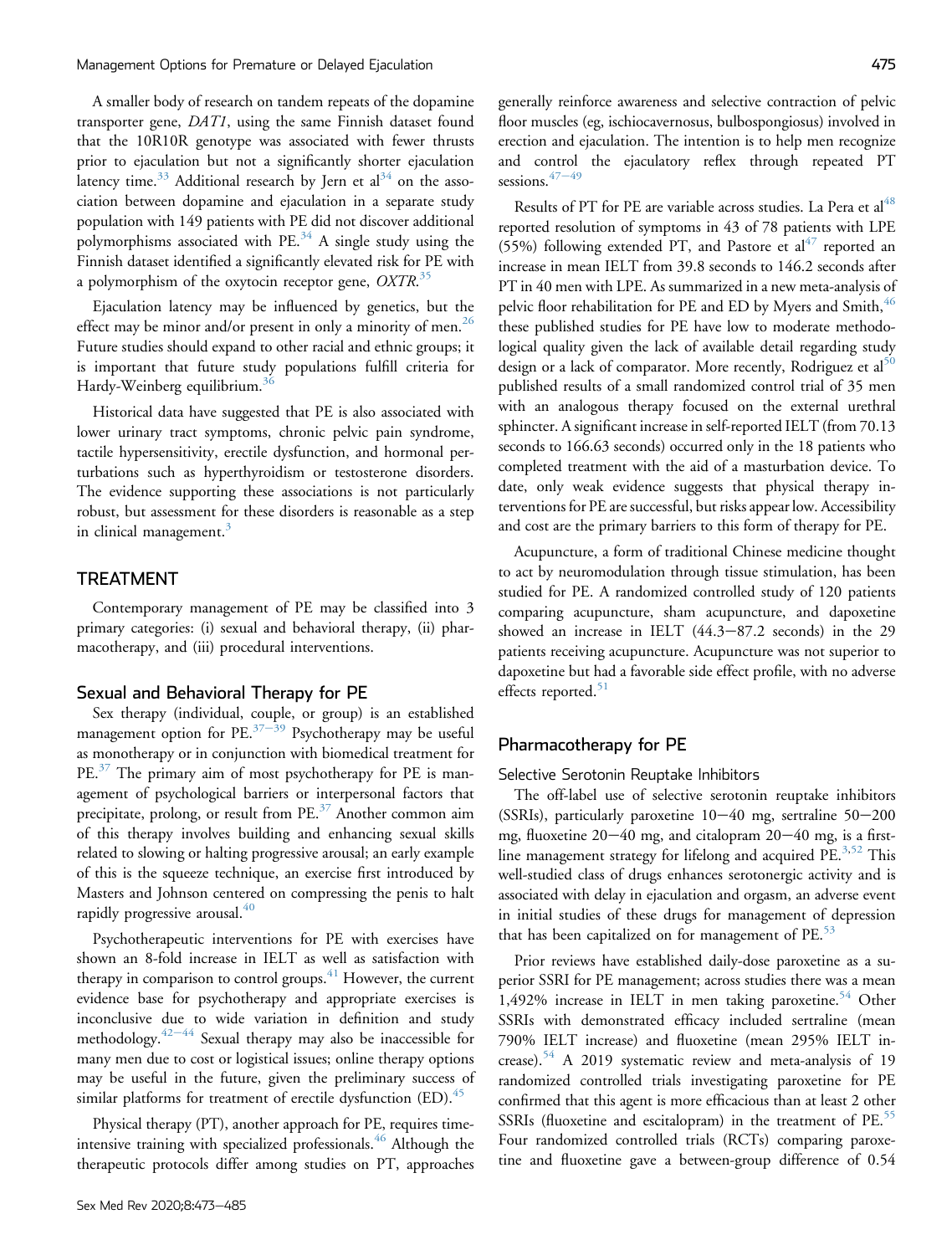A smaller body of research on tandem repeats of the dopamine transporter gene, DAT1, using the same Finnish dataset found that the 10R10R genotype was associated with fewer thrusts prior to ejaculation but not a significantly shorter ejaculation latency time.<sup>[33](#page-9-1)</sup> Additional research by Jern et  $al<sup>34</sup>$  on the association between dopamine and ejaculation in a separate study population with 149 patients with PE did not discover additional polymorphisms associated with  $PE.^{34}$  $PE.^{34}$  $PE.^{34}$  A single study using the Finnish dataset identified a significantly elevated risk for PE with a polymorphism of the oxytocin receptor gene,  $OXTR$ .<sup>[35](#page-9-3)</sup>

Ejaculation latency may be influenced by genetics, but the effect may be minor and/or present in only a minority of men.<sup>26</sup> Future studies should expand to other racial and ethnic groups; it is important that future study populations fulfill criteria for Hardy-Weinberg equilibrium.<sup>[36](#page-9-4)</sup>

Historical data have suggested that PE is also associated with lower urinary tract symptoms, chronic pelvic pain syndrome, tactile hypersensitivity, erectile dysfunction, and hormonal perturbations such as hyperthyroidism or testosterone disorders. The evidence supporting these associations is not particularly robust, but assessment for these disorders is reasonable as a step in clinical management.<sup>[3](#page-8-2)</sup>

# TREATMENT

Contemporary management of PE may be classified into 3 primary categories: (i) sexual and behavioral therapy, (ii) pharmacotherapy, and (iii) procedural interventions.

#### Sexual and Behavioral Therapy for PE

Sex therapy (individual, couple, or group) is an established management option for PE. $37-39$  $37-39$  $37-39$  Psychotherapy may be useful as monotherapy or in conjunction with biomedical treatment for PE.<sup>[37](#page-9-5)</sup> The primary aim of most psychotherapy for PE is management of psychological barriers or interpersonal factors that precipitate, prolong, or result from PE.[37](#page-9-5) Another common aim of this therapy involves building and enhancing sexual skills related to slowing or halting progressive arousal; an early example of this is the squeeze technique, an exercise first introduced by Masters and Johnson centered on compressing the penis to halt rapidly progressive arousal. $40$ 

Psychotherapeutic interventions for PE with exercises have shown an 8-fold increase in IELT as well as satisfaction with therapy in comparison to control groups. $41$  However, the current evidence base for psychotherapy and appropriate exercises is inconclusive due to wide variation in definition and study methodology. $42-44$  $42-44$  $42-44$  Sexual therapy may also be inaccessible for many men due to cost or logistical issues; online therapy options may be useful in the future, given the preliminary success of similar platforms for treatment of erectile dysfunction  $(ED)^{45}$  $(ED)^{45}$  $(ED)^{45}$ .

Physical therapy (PT), another approach for PE, requires time-intensive training with specialized professionals.<sup>[46](#page-9-10)</sup> Although the therapeutic protocols differ among studies on PT, approaches generally reinforce awareness and selective contraction of pelvic floor muscles (eg, ischiocavernosus, bulbospongiosus) involved in erection and ejaculation. The intention is to help men recognize and control the ejaculatory reflex through repeated PT sessions.  $47-49$  $47-49$  $47-49$ 

Results of PT for PE are variable across studies. La Pera et al<sup>48</sup> reported resolution of symptoms in 43 of 78 patients with LPE (55%) following extended PT, and Pastore et  $al<sup>4</sup>$  reported an increase in mean IELT from 39.8 seconds to 146.2 seconds after PT in 40 men with LPE. As summarized in a new meta-analysis of pelvic floor rehabilitation for PE and ED by Myers and Smith, <sup>[46](#page-9-10)</sup> these published studies for PE have low to moderate methodological quality given the lack of available detail regarding study design or a lack of comparator. More recently, Rodriguez et al<sup>[50](#page-9-13)</sup> published results of a small randomized control trial of 35 men with an analogous therapy focused on the external urethral sphincter. A significant increase in self-reported IELT (from 70.13 seconds to 166.63 seconds) occurred only in the 18 patients who completed treatment with the aid of a masturbation device. To date, only weak evidence suggests that physical therapy interventions for PE are successful, but risks appear low. Accessibility and cost are the primary barriers to this form of therapy for PE.

Acupuncture, a form of traditional Chinese medicine thought to act by neuromodulation through tissue stimulation, has been studied for PE. A randomized controlled study of 120 patients comparing acupuncture, sham acupuncture, and dapoxetine showed an increase in IELT  $(44.3-87.2$  seconds) in the 29 patients receiving acupuncture. Acupuncture was not superior to dapoxetine but had a favorable side effect profile, with no adverse effects reported. $51$ 

### Pharmacotherapy for PE

Selective Serotonin Reuptake Inhibitors

The off-label use of selective serotonin reuptake inhibitors (SSRIs), particularly paroxetine  $10-40$  mg, sertraline  $50-200$ mg, fluoxetine  $20-40$  mg, and citalopram  $20-40$  mg, is a first-line management strategy for lifelong and acquired PE.<sup>[3](#page-8-2),[52](#page-9-15)</sup> This well-studied class of drugs enhances serotonergic activity and is associated with delay in ejaculation and orgasm, an adverse event in initial studies of these drugs for management of depression that has been capitalized on for management of  $PE.^{53}$  $PE.^{53}$  $PE.^{53}$ 

Prior reviews have established daily-dose paroxetine as a superior SSRI for PE management; across studies there was a mean 1,492% increase in IELT in men taking paroxetine.<sup>[54](#page-9-17)</sup> Other SSRIs with demonstrated efficacy included sertraline (mean 790% IELT increase) and fluoxetine (mean 295% IELT in-crease).<sup>[54](#page-9-17)</sup> A 2019 systematic review and meta-analysis of 19 randomized controlled trials investigating paroxetine for PE confirmed that this agent is more efficacious than at least 2 other SSRIs (fluoxetine and escitalopram) in the treatment of PE.<sup>[55](#page-9-18)</sup> Four randomized controlled trials (RCTs) comparing paroxetine and fluoxetine gave a between-group difference of 0.54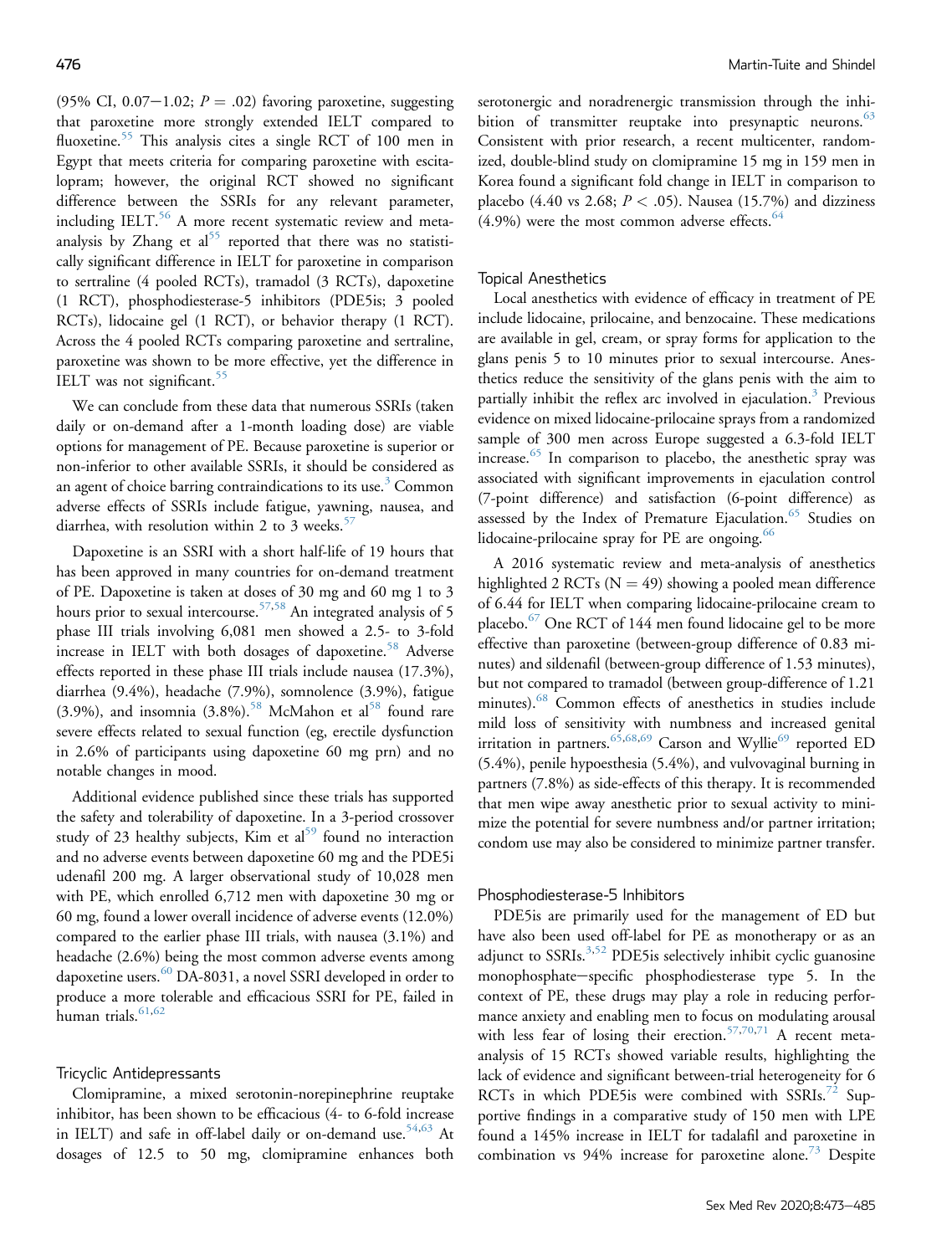(95% CI, 0.07-1.02;  $P = .02$ ) favoring paroxetine, suggesting that paroxetine more strongly extended IELT compared to fluoxetine.<sup>[55](#page-9-18)</sup> This analysis cites a single RCT of 100 men in Egypt that meets criteria for comparing paroxetine with escitalopram; however, the original RCT showed no significant difference between the SSRIs for any relevant parameter, including IELT.<sup>[56](#page-9-19)</sup> A more recent systematic review and meta-analysis by Zhang et al<sup>[55](#page-9-18)</sup> reported that there was no statistically significant difference in IELT for paroxetine in comparison to sertraline (4 pooled RCTs), tramadol (3 RCTs), dapoxetine (1 RCT), phosphodiesterase-5 inhibitors (PDE5is; 3 pooled RCTs), lidocaine gel (1 RCT), or behavior therapy (1 RCT). Across the 4 pooled RCTs comparing paroxetine and sertraline, paroxetine was shown to be more effective, yet the difference in IELT was not significant.<sup>[55](#page-9-18)</sup>

We can conclude from these data that numerous SSRIs (taken daily or on-demand after a 1-month loading dose) are viable options for management of PE. Because paroxetine is superior or non-inferior to other available SSRIs, it should be considered as an agent of choice barring contraindications to its use.<sup>[3](#page-8-2)</sup> Common adverse effects of SSRIs include fatigue, yawning, nausea, and diarrhea, with resolution within 2 to 3 weeks. $57$ 

Dapoxetine is an SSRI with a short half-life of 19 hours that has been approved in many countries for on-demand treatment of PE. Dapoxetine is taken at doses of 30 mg and 60 mg 1 to 3 hours prior to sexual intercourse.<sup>[57](#page-9-20),[58](#page-9-21)</sup> An integrated analysis of 5 phase III trials involving 6,081 men showed a 2.5- to 3-fold increase in IELT with both dosages of dapoxetine.<sup>[58](#page-9-21)</sup> Adverse effects reported in these phase III trials include nausea (17.3%), diarrhea (9.4%), headache (7.9%), somnolence (3.9%), fatigue (3.9%), and insomnia  $(3.8\%)$ .<sup>[58](#page-9-21)</sup> McMahon et al<sup>58</sup> found rare severe effects related to sexual function (eg, erectile dysfunction in 2.6% of participants using dapoxetine 60 mg prn) and no notable changes in mood.

Additional evidence published since these trials has supported the safety and tolerability of dapoxetine. In a 3-period crossover study of 23 healthy subjects, Kim et al<sup>59</sup> found no interaction and no adverse events between dapoxetine 60 mg and the PDE5i udenafil 200 mg. A larger observational study of 10,028 men with PE, which enrolled 6,712 men with dapoxetine 30 mg or 60 mg, found a lower overall incidence of adverse events (12.0%) compared to the earlier phase III trials, with nausea (3.1%) and headache (2.6%) being the most common adverse events among dapoxetine users.<sup>[60](#page-9-23)</sup> DA-8031, a novel SSRI developed in order to produce a more tolerable and efficacious SSRI for PE, failed in human trials.<sup>[61,](#page-9-24)[62](#page-10-0)</sup>

#### Tricyclic Antidepressants

Clomipramine, a mixed serotonin-norepinephrine reuptake inhibitor, has been shown to be efficacious (4- to 6-fold increase in IELT) and safe in off-label daily or on-demand use.<sup>[54,](#page-9-17)[63](#page-10-1)</sup> At dosages of 12.5 to 50 mg, clomipramine enhances both

serotonergic and noradrenergic transmission through the inhibition of transmitter reuptake into presynaptic neurons. $63$ Consistent with prior research, a recent multicenter, randomized, double-blind study on clomipramine 15 mg in 159 men in Korea found a significant fold change in IELT in comparison to placebo (4.40 vs 2.68;  $P < .05$ ). Nausea (15.7%) and dizziness  $(4.9\%)$  were the most common adverse effects.<sup>[64](#page-10-2)</sup>

# Topical Anesthetics

Local anesthetics with evidence of efficacy in treatment of PE include lidocaine, prilocaine, and benzocaine. These medications are available in gel, cream, or spray forms for application to the glans penis 5 to 10 minutes prior to sexual intercourse. Anesthetics reduce the sensitivity of the glans penis with the aim to partially inhibit the reflex arc involved in ejaculation.<sup>[3](#page-8-2)</sup> Previous evidence on mixed lidocaine-prilocaine sprays from a randomized sample of 300 men across Europe suggested a 6.3-fold IELT increase.<sup>[65](#page-10-3)</sup> In comparison to placebo, the anesthetic spray was associated with significant improvements in ejaculation control (7-point difference) and satisfaction (6-point difference) as assessed by the Index of Premature Ejaculation.<sup>[65](#page-10-3)</sup> Studies on lidocaine-prilocaine spray for  $PE$  are ongoing.  $66$ 

A 2016 systematic review and meta-analysis of anesthetics highlighted 2 RCTs ( $N = 49$ ) showing a pooled mean difference of 6.44 for IELT when comparing lidocaine-prilocaine cream to placebo.[67](#page-10-5) One RCT of 144 men found lidocaine gel to be more effective than paroxetine (between-group difference of 0.83 minutes) and sildenafil (between-group difference of 1.53 minutes), but not compared to tramadol (between group-difference of 1.21 minutes).[68](#page-10-6) Common effects of anesthetics in studies include mild loss of sensitivity with numbness and increased genital irritation in partners.  $65,68,69$  $65,68,69$  $65,68,69$  Carson and Wyllie<sup>69</sup> reported ED (5.4%), penile hypoesthesia (5.4%), and vulvovaginal burning in partners (7.8%) as side-effects of this therapy. It is recommended that men wipe away anesthetic prior to sexual activity to minimize the potential for severe numbness and/or partner irritation; condom use may also be considered to minimize partner transfer.

# Phosphodiesterase-5 Inhibitors

PDE5is are primarily used for the management of ED but have also been used off-label for PE as monotherapy or as an adjunct to SSRIs. $3,52$  $3,52$  PDE5 is selectively inhibit cyclic guanosine monophosphate-specific phosphodiesterase type 5. In the context of PE, these drugs may play a role in reducing performance anxiety and enabling men to focus on modulating arousal with less fear of losing their erection. $57,70,71$  $57,70,71$  $57,70,71$  A recent metaanalysis of 15 RCTs showed variable results, highlighting the lack of evidence and significant between-trial heterogeneity for 6 RCTs in which PDE5is were combined with SSRIs.<sup>[72](#page-10-10)</sup> Supportive findings in a comparative study of 150 men with LPE found a 145% increase in IELT for tadalafil and paroxetine in combination vs  $94\%$  increase for paroxetine alone.<sup>[73](#page-10-11)</sup> Despite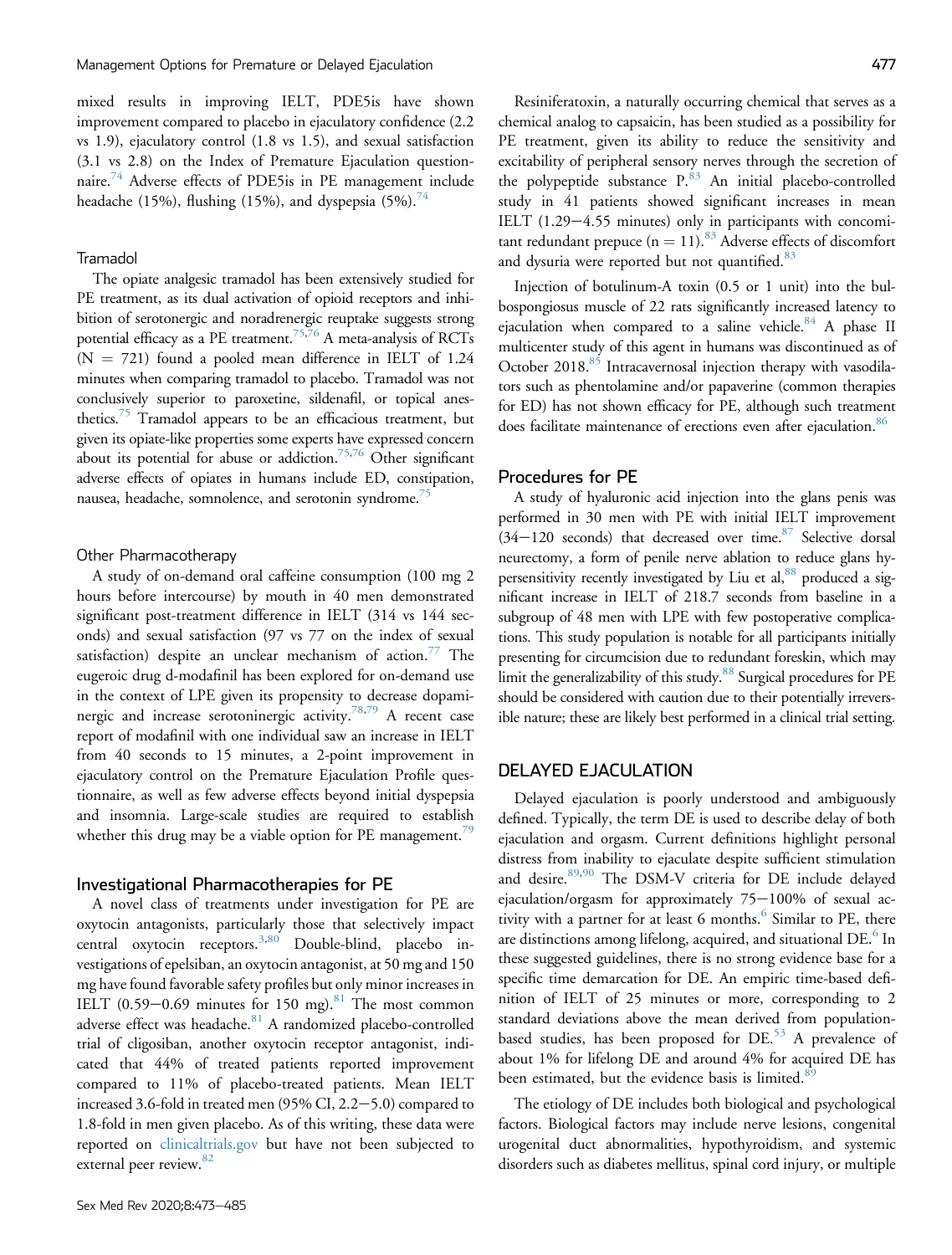mixed results in improving IELT, PDE5is have shown improvement compared to placebo in ejaculatory confidence (2.2 vs 1.9), ejaculatory control (1.8 vs 1.5), and sexual satisfaction (3.1 vs 2.8) on the Index of Premature Ejaculation question-naire.<sup>[74](#page-10-12)</sup> Adverse effects of PDE5is in PE management include headache (15%), flushing (15%), and dyspepsia  $(5\%)$ .<sup>[74](#page-10-12)</sup>

#### Tramadol

The opiate analgesic tramadol has been extensively studied for PE treatment, as its dual activation of opioid receptors and inhibition of serotonergic and noradrenergic reuptake suggests strong potential efficacy as a PE treatment.<sup>[75](#page-10-13),[76](#page-10-14)</sup> A meta-analysis of RCTs  $(N = 721)$  found a pooled mean difference in IELT of 1.24 minutes when comparing tramadol to placebo. Tramadol was not conclusively superior to paroxetine, sildenafil, or topical anesthetics.<sup>75</sup> Tramadol appears to be an efficacious treatment, but given its opiate-like properties some experts have expressed concern about its potential for abuse or addiction.<sup>75,[76](#page-10-14)</sup> Other significant adverse effects of opiates in humans include ED, constipation, nausea, headache, somnolence, and serotonin syndrome.<sup>[75](#page-10-13)</sup>

### Other Pharmacotherapy

A study of on-demand oral caffeine consumption (100 mg 2 hours before intercourse) by mouth in 40 men demonstrated significant post-treatment difference in IELT (314 vs 144 seconds) and sexual satisfaction (97 vs 77 on the index of sexual satisfaction) despite an unclear mechanism of action.<sup>[77](#page-10-15)</sup> The eugeroic drug d-modafinil has been explored for on-demand use in the context of LPE given its propensity to decrease dopami-nergic and increase serotoninergic activity.<sup>[78,](#page-10-16)[79](#page-10-17)</sup> A recent case report of modafinil with one individual saw an increase in IELT from 40 seconds to 15 minutes, a 2-point improvement in ejaculatory control on the Premature Ejaculation Profile questionnaire, as well as few adverse effects beyond initial dyspepsia and insomnia. Large-scale studies are required to establish whether this drug may be a viable option for PE management.<sup>[79](#page-10-17)</sup>

## Investigational Pharmacotherapies for PE

A novel class of treatments under investigation for PE are oxytocin antagonists, particularly those that selectively impact central oxytocin receptors.<sup>3,[80](#page-10-18)</sup> Double-blind, placebo investigations of epelsiban, an oxytocin antagonist, at 50 mg and 150 mg have found favorable safety profiles but only minor increases in IELT  $(0.59-0.69$  minutes for 150 mg).<sup>[81](#page-10-19)</sup> The most common adverse effect was headache.<sup>[81](#page-10-19)</sup> A randomized placebo-controlled trial of cligosiban, another oxytocin receptor antagonist, indicated that 44% of treated patients reported improvement compared to 11% of placebo-treated patients. Mean IELT increased 3.6-fold in treated men  $(95\%$  CI, 2.2 $-5.0$ ) compared to 1.8-fold in men given placebo. As of this writing, these data were reported on [clinicaltrials.gov](http://clinicaltrials.gov) but have not been subjected to external peer review.<sup>[82](#page-10-20)</sup>

Resiniferatoxin, a naturally occurring chemical that serves as a chemical analog to capsaicin, has been studied as a possibility for PE treatment, given its ability to reduce the sensitivity and excitability of peripheral sensory nerves through the secretion of the polypeptide substance  $P^{83}$  $P^{83}$  $P^{83}$ . An initial placebo-controlled study in 41 patients showed significant increases in mean IELT  $(1.29-4.55$  minutes) only in participants with concomitant redundant prepuce ( $n = 11$ ).<sup>[83](#page-10-21)</sup> Adverse effects of discomfort and dysuria were reported but not quantified.<sup>[83](#page-10-21)</sup>

Injection of botulinum-A toxin (0.5 or 1 unit) into the bulbospongiosus muscle of 22 rats significantly increased latency to ejaculation when compared to a saline vehicle. $84$  A phase II multicenter study of this agent in humans was discontinued as of October 2018.<sup>[85](#page-10-23)</sup> Intracavernosal injection therapy with vasodilators such as phentolamine and/or papaverine (common therapies for ED) has not shown efficacy for PE, although such treatment does facilitate maintenance of erections even after ejaculation.<sup>86</sup>

# Procedures for PE

A study of hyaluronic acid injection into the glans penis was performed in 30 men with PE with initial IELT improvement  $(34-120$  seconds) that decreased over time.<sup>[87](#page-10-25)</sup> Selective dorsal neurectomy, a form of penile nerve ablation to reduce glans hy-persensitivity recently investigated by Liu et al,<sup>[88](#page-10-26)</sup> produced a significant increase in IELT of 218.7 seconds from baseline in a subgroup of 48 men with LPE with few postoperative complications. This study population is notable for all participants initially presenting for circumcision due to redundant foreskin, which may limit the generalizability of this study.<sup>[88](#page-10-26)</sup> Surgical procedures for PE should be considered with caution due to their potentially irreversible nature; these are likely best performed in a clinical trial setting.

# DELAYED EJACULATION

Delayed ejaculation is poorly understood and ambiguously defined. Typically, the term DE is used to describe delay of both ejaculation and orgasm. Current definitions highlight personal distress from inability to ejaculate despite sufficient stimulation and desire.<sup>89[,90](#page-10-28)</sup> The DSM-V criteria for DE include delayed ejaculation/orgasm for approximately  $75-100\%$  of sexual ac-tivity with a partner for at least [6](#page-8-5) months. $6$  Similar to PE, there are distinctions among lifelong, acquired, and situational DE.<sup>[6](#page-8-5)</sup> In these suggested guidelines, there is no strong evidence base for a specific time demarcation for DE. An empiric time-based definition of IELT of 25 minutes or more, corresponding to 2 standard deviations above the mean derived from populationbased studies, has been proposed for  $DE<sup>53</sup>$  $DE<sup>53</sup>$  $DE<sup>53</sup>$  A prevalence of about 1% for lifelong DE and around 4% for acquired DE has been estimated, but the evidence basis is limited.<sup>8</sup>

The etiology of DE includes both biological and psychological factors. Biological factors may include nerve lesions, congenital urogenital duct abnormalities, hypothyroidism, and systemic disorders such as diabetes mellitus, spinal cord injury, or multiple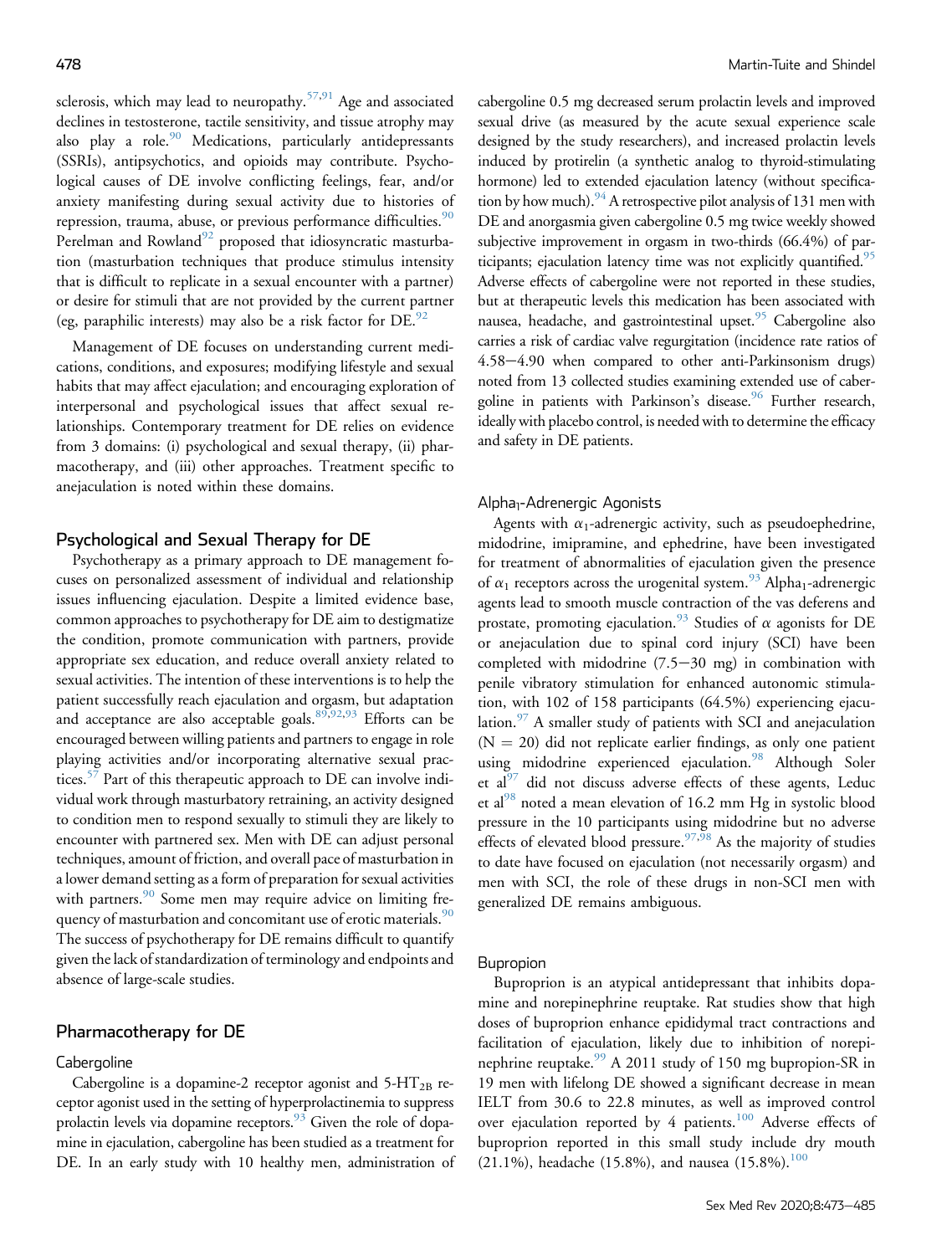sclerosis, which may lead to neuropathy.<sup>[57,](#page-9-20)[91](#page-11-0)</sup> Age and associated declines in testosterone, tactile sensitivity, and tissue atrophy may also play a role.<sup>[90](#page-10-28)</sup> Medications, particularly antidepressants (SSRIs), antipsychotics, and opioids may contribute. Psychological causes of DE involve conflicting feelings, fear, and/or anxiety manifesting during sexual activity due to histories of repression, trauma, abuse, or previous performance difficulties.<sup>[90](#page-10-28)</sup> Perelman and Rowland $92$  proposed that idiosyncratic masturbation (masturbation techniques that produce stimulus intensity that is difficult to replicate in a sexual encounter with a partner) or desire for stimuli that are not provided by the current partner (eg, paraphilic interests) may also be a risk factor for  $DE$ .<sup>[92](#page-11-1)</sup>

Management of DE focuses on understanding current medications, conditions, and exposures; modifying lifestyle and sexual habits that may affect ejaculation; and encouraging exploration of interpersonal and psychological issues that affect sexual relationships. Contemporary treatment for DE relies on evidence from 3 domains: (i) psychological and sexual therapy, (ii) pharmacotherapy, and (iii) other approaches. Treatment specific to anejaculation is noted within these domains.

# Psychological and Sexual Therapy for DE

Psychotherapy as a primary approach to DE management focuses on personalized assessment of individual and relationship issues influencing ejaculation. Despite a limited evidence base, common approaches to psychotherapy for DE aim to destigmatize the condition, promote communication with partners, provide appropriate sex education, and reduce overall anxiety related to sexual activities. The intention of these interventions is to help the patient successfully reach ejaculation and orgasm, but adaptation and acceptance are also acceptable goals. $89,92,93$  $89,92,93$  $89,92,93$  Efforts can be encouraged between willing patients and partners to engage in role playing activities and/or incorporating alternative sexual prac-tices.<sup>[57](#page-9-20)</sup> Part of this therapeutic approach to DE can involve individual work through masturbatory retraining, an activity designed to condition men to respond sexually to stimuli they are likely to encounter with partnered sex. Men with DE can adjust personal techniques, amount of friction, and overall pace of masturbation in a lower demand setting as a form of preparation for sexual activities with partners.<sup>[90](#page-10-28)</sup> Some men may require advice on limiting fre-quency of masturbation and concomitant use of erotic materials.<sup>[90](#page-10-28)</sup> The success of psychotherapy for DE remains difficult to quantify given the lack of standardization of terminology and endpoints and absence of large-scale studies.

# Pharmacotherapy for DE

#### **Cabergoline**

Cabergoline is a dopamine-2 receptor agonist and  $5-HT_{2B}$  receptor agonist used in the setting of hyperprolactinemia to suppress prolactin levels via dopamine receptors.<sup>93</sup> Given the role of dopamine in ejaculation, cabergoline has been studied as a treatment for DE. In an early study with 10 healthy men, administration of cabergoline 0.5 mg decreased serum prolactin levels and improved sexual drive (as measured by the acute sexual experience scale designed by the study researchers), and increased prolactin levels induced by protirelin (a synthetic analog to thyroid-stimulating hormone) led to extended ejaculation latency (without specification by how much).  $^{94}$  A retrospective pilot analysis of 131 men with DE and anorgasmia given cabergoline 0.5 mg twice weekly showed subjective improvement in orgasm in two-thirds (66.4%) of par-ticipants; ejaculation latency time was not explicitly quantified.<sup>[95](#page-11-4)</sup> Adverse effects of cabergoline were not reported in these studies, but at therapeutic levels this medication has been associated with nausea, headache, and gastrointestinal upset.<sup>95</sup> Cabergoline also carries a risk of cardiac valve regurgitation (incidence rate ratios of 4.58-4.90 when compared to other anti-Parkinsonism drugs) noted from 13 collected studies examining extended use of caber-goline in patients with Parkinson's disease.<sup>[96](#page-11-5)</sup> Further research, ideally with placebo control, is needed with to determine the efficacy and safety in DE patients.

### Alpha<sub>1</sub>-Adrenergic Agonists

Agents with  $\alpha_1$ -adrenergic activity, such as pseudoephedrine, midodrine, imipramine, and ephedrine, have been investigated for treatment of abnormalities of ejaculation given the presence of  $\alpha_1$  receptors across the urogenital system.<sup>[93](#page-11-2)</sup> Alpha<sub>1</sub>-adrenergic agents lead to smooth muscle contraction of the vas deferens and prostate, promoting ejaculation.<sup>[93](#page-11-2)</sup> Studies of  $\alpha$  agonists for DE or anejaculation due to spinal cord injury (SCI) have been completed with midodrine  $(7.5-30$  mg) in combination with penile vibratory stimulation for enhanced autonomic stimulation, with 102 of 158 participants (64.5%) experiencing ejacu-lation.<sup>[97](#page-11-6)</sup> A smaller study of patients with SCI and anejaculation  $(N = 20)$  did not replicate earlier findings, as only one patient using midodrine experienced ejaculation.<sup>[98](#page-11-7)</sup> Although Soler et al $97$  did not discuss adverse effects of these agents, Leduc et al<sup>[98](#page-11-7)</sup> noted a mean elevation of 16.2 mm Hg in systolic blood pressure in the 10 participants using midodrine but no adverse effects of elevated blood pressure.<sup>[97,](#page-11-6)[98](#page-11-7)</sup> As the majority of studies to date have focused on ejaculation (not necessarily orgasm) and men with SCI, the role of these drugs in non-SCI men with generalized DE remains ambiguous.

#### Bupropion

Buproprion is an atypical antidepressant that inhibits dopamine and norepinephrine reuptake. Rat studies show that high doses of buproprion enhance epididymal tract contractions and facilitation of ejaculation, likely due to inhibition of norepi-nephrine reuptake.<sup>[99](#page-11-8)</sup> A 2011 study of 150 mg bupropion-SR in 19 men with lifelong DE showed a significant decrease in mean IELT from 30.6 to 22.8 minutes, as well as improved control over ejaculation reported by 4 patients.<sup>[100](#page-11-9)</sup> Adverse effects of buproprion reported in this small study include dry mouth (21.1%), headache (15.8%), and nausea (15.8%).<sup>[100](#page-11-9)</sup>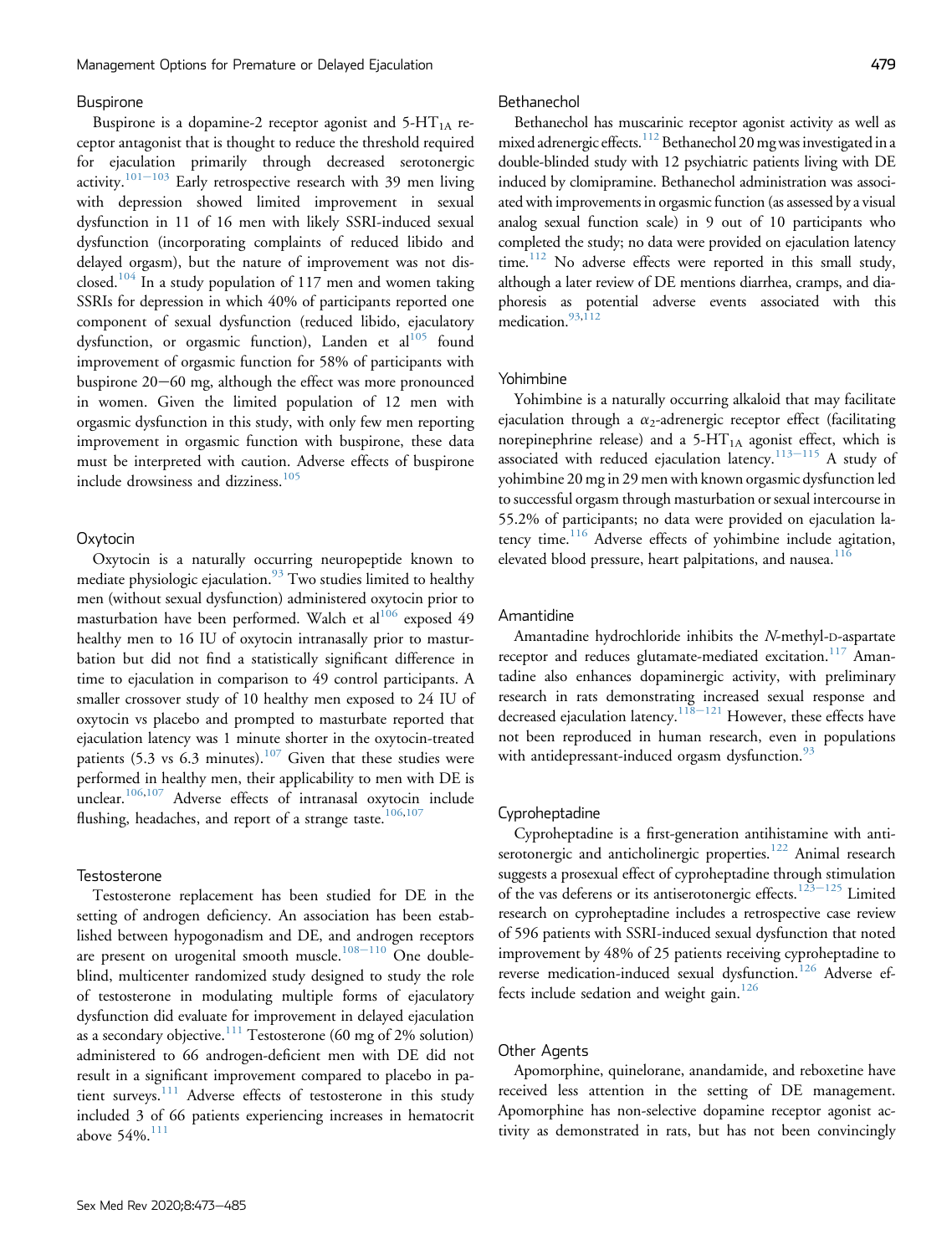#### Buspirone

Buspirone is a dopamine-2 receptor agonist and  $5-HT<sub>1A</sub>$  receptor antagonist that is thought to reduce the threshold required for ejaculation primarily through decreased serotonergic activity.<sup>[101](#page-11-10)-[103](#page-11-10)</sup> Early retrospective research with 39 men living with depression showed limited improvement in sexual dysfunction in 11 of 16 men with likely SSRI-induced sexual dysfunction (incorporating complaints of reduced libido and delayed orgasm), but the nature of improvement was not dis-closed.<sup>[104](#page-11-11)</sup> In a study population of 117 men and women taking SSRIs for depression in which 40% of participants reported one component of sexual dysfunction (reduced libido, ejaculatory dysfunction, or orgasmic function), Landen et al<sup>[105](#page-11-12)</sup> found improvement of orgasmic function for 58% of participants with buspirone  $20-60$  mg, although the effect was more pronounced in women. Given the limited population of 12 men with orgasmic dysfunction in this study, with only few men reporting improvement in orgasmic function with buspirone, these data must be interpreted with caution. Adverse effects of buspirone include drowsiness and dizziness.<sup>[105](#page-11-12)</sup>

#### **Oxytocin**

Oxytocin is a naturally occurring neuropeptide known to mediate physiologic ejaculation. $93$  Two studies limited to healthy men (without sexual dysfunction) administered oxytocin prior to masturbation have been performed. Walch et al<sup>[106](#page-11-13)</sup> exposed 49 healthy men to 16 IU of oxytocin intranasally prior to masturbation but did not find a statistically significant difference in time to ejaculation in comparison to 49 control participants. A smaller crossover study of 10 healthy men exposed to 24 IU of oxytocin vs placebo and prompted to masturbate reported that ejaculation latency was 1 minute shorter in the oxytocin-treated patients (5.3 vs 6.3 minutes).<sup>[107](#page-11-14)</sup> Given that these studies were performed in healthy men, their applicability to men with DE is unclear.<sup>[106](#page-11-13)[,107](#page-11-14)</sup> Adverse effects of intranasal oxytocin include flushing, headaches, and report of a strange taste.<sup>[106](#page-11-13)[,107](#page-11-14)</sup>

# **Testosterone**

Testosterone replacement has been studied for DE in the setting of androgen deficiency. An association has been established between hypogonadism and DE, and androgen receptors are present on urogenital smooth muscle.<sup>[108](#page-11-15)-[110](#page-11-15)</sup> One doubleblind, multicenter randomized study designed to study the role of testosterone in modulating multiple forms of ejaculatory dysfunction did evaluate for improvement in delayed ejaculation as a secondary objective.<sup>[111](#page-11-16)</sup> Testosterone (60 mg of 2% solution) administered to 66 androgen-deficient men with DE did not result in a significant improvement compared to placebo in pa-tient surveys.<sup>[111](#page-11-16)</sup> Adverse effects of testosterone in this study included 3 of 66 patients experiencing increases in hematocrit above  $54\%$ .<sup>[111](#page-11-16)</sup>

#### Bethanechol

Bethanechol has muscarinic receptor agonist activity as well as mixed adrenergic effects.<sup>[112](#page-11-17)</sup> Bethanechol 20 mg was investigated in a double-blinded study with 12 psychiatric patients living with DE induced by clomipramine. Bethanechol administration was associated with improvements in orgasmic function (as assessed by a visual analog sexual function scale) in 9 out of 10 participants who completed the study; no data were provided on ejaculation latency time.<sup>112</sup> No adverse effects were reported in this small study, although a later review of DE mentions diarrhea, cramps, and diaphoresis as potential adverse events associated with this medication.<sup>[93](#page-11-2),[112](#page-11-17)</sup>

#### Yohimbine

Yohimbine is a naturally occurring alkaloid that may facilitate ejaculation through a  $\alpha_2$ -adrenergic receptor effect (facilitating norepinephrine release) and a  $5-HT<sub>1A</sub>$  agonist effect, which is associated with reduced ejaculation latency.<sup>[113](#page-11-18)-[115](#page-11-18)</sup> A study of yohimbine 20 mg in 29 men with known orgasmic dysfunction led to successful orgasm through masturbation or sexual intercourse in 55.2% of participants; no data were provided on ejaculation la-tency time.<sup>[116](#page-11-19)</sup> Adverse effects of yohimbine include agitation, elevated blood pressure, heart palpitations, and nausea. $11$ 

#### Amantidine

Amantadine hydrochloride inhibits the N-methyl-D-aspartate receptor and reduces glutamate-mediated excitation.<sup>11</sup> Amantadine also enhances dopaminergic activity, with preliminary research in rats demonstrating increased sexual response and decreased ejaculation latency.<sup>[118](#page-11-21)–[121](#page-11-21)</sup> However, these effects have not been reproduced in human research, even in populations with antidepressant-induced orgasm dysfunction.<sup>[93](#page-11-2)</sup>

# Cyproheptadine

Cyproheptadine is a first-generation antihistamine with anti-serotonergic and anticholinergic properties.<sup>[122](#page-11-22)</sup> Animal research suggests a prosexual effect of cyproheptadine through stimulation of the vas deferens or its antiserotonergic effects.<sup>[123](#page-11-23)–[125](#page-11-23)</sup> Limited research on cyproheptadine includes a retrospective case review of 596 patients with SSRI-induced sexual dysfunction that noted improvement by 48% of 25 patients receiving cyproheptadine to reverse medication-induced sexual dysfunction.<sup>[126](#page-12-0)</sup> Adverse ef-fects include sedation and weight gain.<sup>[126](#page-12-0)</sup>

# Other Agents

Apomorphine, quinelorane, anandamide, and reboxetine have received less attention in the setting of DE management. Apomorphine has non-selective dopamine receptor agonist activity as demonstrated in rats, but has not been convincingly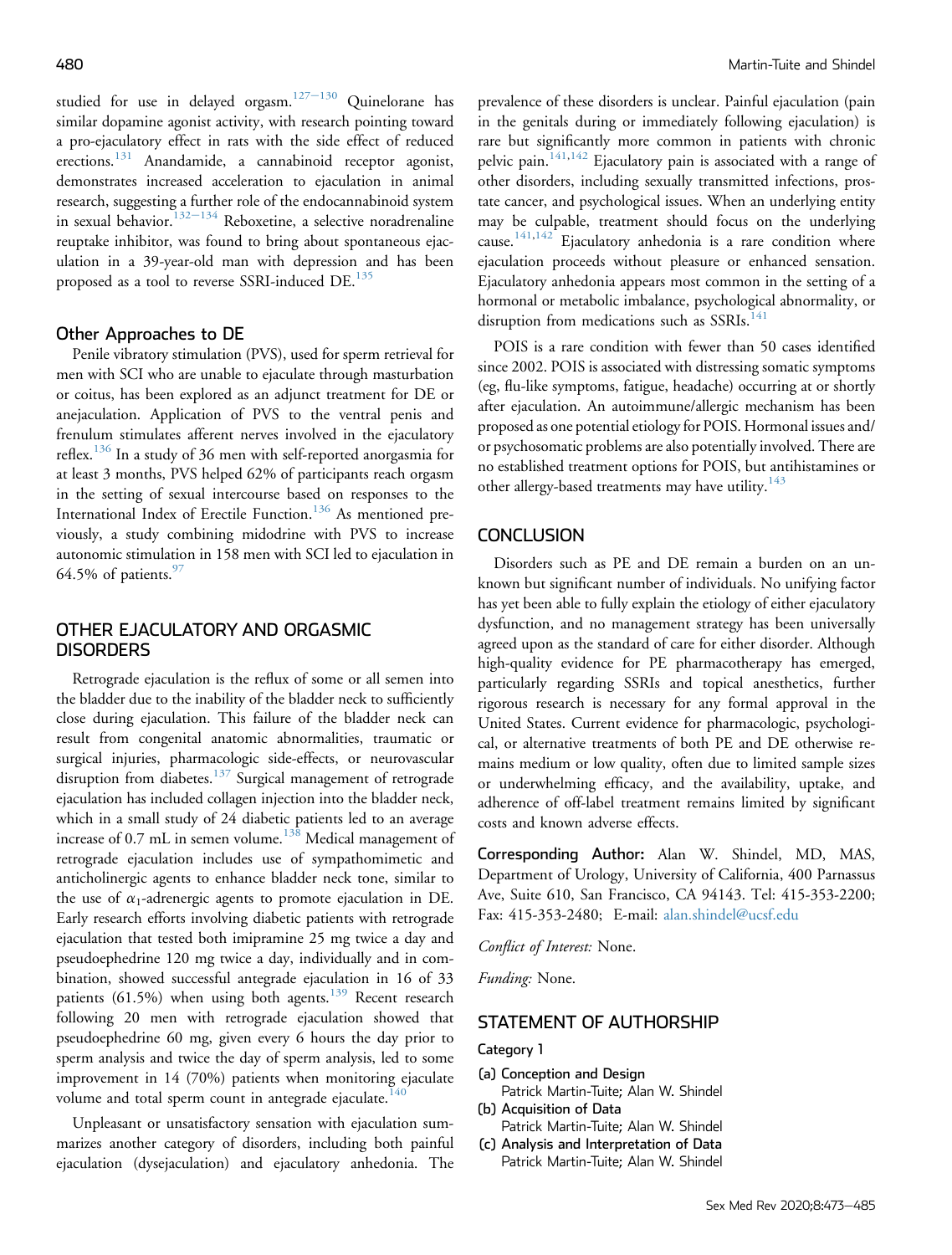studied for use in delayed orgasm.<sup>[127](#page-12-1)-[130](#page-12-1)</sup> Quinelorane has similar dopamine agonist activity, with research pointing toward a pro-ejaculatory effect in rats with the side effect of reduced erections.<sup>[131](#page-12-2)</sup> Anandamide, a cannabinoid receptor agonist, demonstrates increased acceleration to ejaculation in animal research, suggesting a further role of the endocannabinoid system in sexual behavior.<sup>[132](#page-12-3)-[134](#page-12-3)</sup> Reboxetine, a selective noradrenaline reuptake inhibitor, was found to bring about spontaneous ejaculation in a 39-year-old man with depression and has been proposed as a tool to reverse SSRI-induced DE.<sup>[135](#page-12-4)</sup>

#### Other Approaches to DE

Penile vibratory stimulation (PVS), used for sperm retrieval for men with SCI who are unable to ejaculate through masturbation or coitus, has been explored as an adjunct treatment for DE or anejaculation. Application of PVS to the ventral penis and frenulum stimulates afferent nerves involved in the ejaculatory reflex.<sup>[136](#page-12-5)</sup> In a study of 36 men with self-reported anorgasmia for at least 3 months, PVS helped 62% of participants reach orgasm in the setting of sexual intercourse based on responses to the International Index of Erectile Function.<sup>[136](#page-12-5)</sup> As mentioned previously, a study combining midodrine with PVS to increase autonomic stimulation in 158 men with SCI led to ejaculation in 64.5% of patients. $\frac{97}{2}$ 

# OTHER EJACULATORY AND ORGASMIC **DISORDERS**

Retrograde ejaculation is the reflux of some or all semen into the bladder due to the inability of the bladder neck to sufficiently close during ejaculation. This failure of the bladder neck can result from congenital anatomic abnormalities, traumatic or surgical injuries, pharmacologic side-effects, or neurovascular disruption from diabetes.<sup>[137](#page-12-6)</sup> Surgical management of retrograde ejaculation has included collagen injection into the bladder neck, which in a small study of 24 diabetic patients led to an average increase of 0.7 mL in semen volume.<sup>[138](#page-12-7)</sup> Medical management of retrograde ejaculation includes use of sympathomimetic and anticholinergic agents to enhance bladder neck tone, similar to the use of  $\alpha_1$ -adrenergic agents to promote ejaculation in DE. Early research efforts involving diabetic patients with retrograde ejaculation that tested both imipramine 25 mg twice a day and pseudoephedrine 120 mg twice a day, individually and in combination, showed successful antegrade ejaculation in 16 of 33 patients (61.5%) when using both agents.<sup>[139](#page-12-8)</sup> Recent research following 20 men with retrograde ejaculation showed that pseudoephedrine 60 mg, given every 6 hours the day prior to sperm analysis and twice the day of sperm analysis, led to some improvement in 14 (70%) patients when monitoring ejaculate volume and total sperm count in antegrade ejaculate.<sup>[140](#page-12-9)</sup>

Unpleasant or unsatisfactory sensation with ejaculation summarizes another category of disorders, including both painful ejaculation (dysejaculation) and ejaculatory anhedonia. The

prevalence of these disorders is unclear. Painful ejaculation (pain in the genitals during or immediately following ejaculation) is rare but significantly more common in patients with chronic pelvic pain.<sup>[141,](#page-12-10)[142](#page-12-11)</sup> Ejaculatory pain is associated with a range of other disorders, including sexually transmitted infections, prostate cancer, and psychological issues. When an underlying entity may be culpable, treatment should focus on the underlying cause.<sup>[141,](#page-12-10)[142](#page-12-11)</sup> Ejaculatory anhedonia is a rare condition where ejaculation proceeds without pleasure or enhanced sensation. Ejaculatory anhedonia appears most common in the setting of a hormonal or metabolic imbalance, psychological abnormality, or disruption from medications such as SSRIs.<sup>[141](#page-12-10)</sup>

POIS is a rare condition with fewer than 50 cases identified since 2002. POIS is associated with distressing somatic symptoms (eg, flu-like symptoms, fatigue, headache) occurring at or shortly after ejaculation. An autoimmune/allergic mechanism has been proposed as one potential etiology for POIS. Hormonal issues and/ or psychosomatic problems are also potentially involved. There are no established treatment options for POIS, but antihistamines or other allergy-based treatments may have utility.<sup>[143](#page-12-12)</sup>

# **CONCLUSION**

Disorders such as PE and DE remain a burden on an unknown but significant number of individuals. No unifying factor has yet been able to fully explain the etiology of either ejaculatory dysfunction, and no management strategy has been universally agreed upon as the standard of care for either disorder. Although high-quality evidence for PE pharmacotherapy has emerged, particularly regarding SSRIs and topical anesthetics, further rigorous research is necessary for any formal approval in the United States. Current evidence for pharmacologic, psychological, or alternative treatments of both PE and DE otherwise remains medium or low quality, often due to limited sample sizes or underwhelming efficacy, and the availability, uptake, and adherence of off-label treatment remains limited by significant costs and known adverse effects.

Corresponding Author: Alan W. Shindel, MD, MAS, Department of Urology, University of California, 400 Parnassus Ave, Suite 610, San Francisco, CA 94143. Tel: 415-353-2200; Fax: 415-353-2480; E-mail: [alan.shindel@ucsf.edu](mailto:alan.shindel@ucsf.edu)

Conflict of Interest: None.

Funding: None.

# STATEMENT OF AUTHORSHIP

# Category 1

- (a) Conception and Design Patrick Martin-Tuite; Alan W. Shindel
- (b) Acquisition of Data Patrick Martin-Tuite; Alan W. Shindel
- (c) Analysis and Interpretation of Data Patrick Martin-Tuite; Alan W. Shindel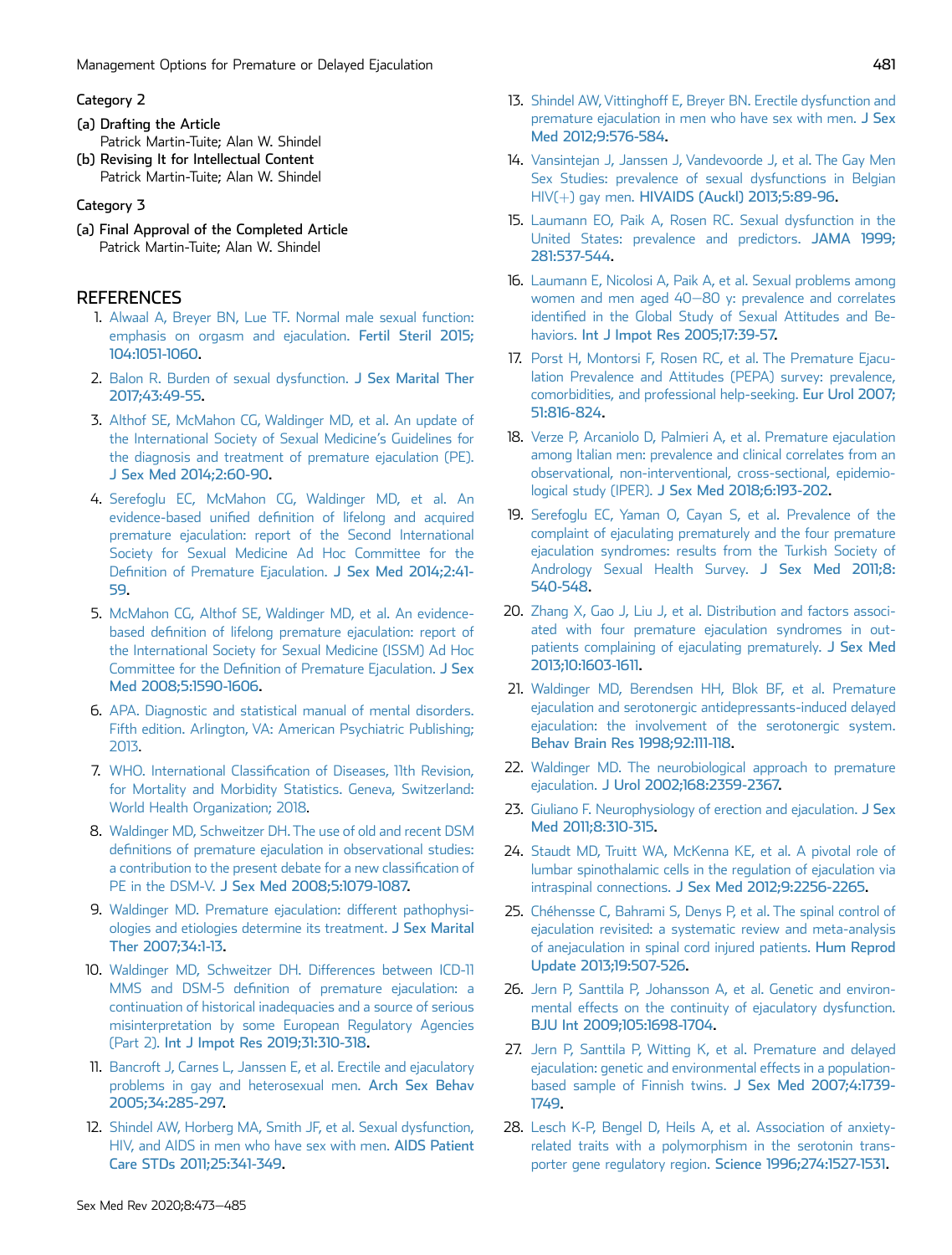# Category 2

- (a) Drafting the Article Patrick Martin-Tuite; Alan W. Shindel
- (b) Revising It for Intellectual Content Patrick Martin-Tuite; Alan W. Shindel

# Category 3

(a) Final Approval of the Completed Article Patrick Martin-Tuite; Alan W. Shindel

# <span id="page-8-0"></span>**REFERENCES**

- 1. [Alwaal A, Breyer BN, Lue TF. Normal male sexual function:](http://refhub.elsevier.com/S2050-0521(19)30095-2/sref1) [emphasis on orgasm and ejaculation.](http://refhub.elsevier.com/S2050-0521(19)30095-2/sref1) Fertil Steril 2015; [104:1051-1060.](http://refhub.elsevier.com/S2050-0521(19)30095-2/sref1)
- <span id="page-8-1"></span>2. [Balon R. Burden of sexual dysfunction.](http://refhub.elsevier.com/S2050-0521(19)30095-2/sref2) J Sex Marital Ther [2017;43:49-55.](http://refhub.elsevier.com/S2050-0521(19)30095-2/sref2)
- <span id="page-8-2"></span>3. [Althof SE, McMahon CG, Waldinger MD, et al. An update of](http://refhub.elsevier.com/S2050-0521(19)30095-2/sref3) [the International Society of Sexual Medicine](http://refhub.elsevier.com/S2050-0521(19)30095-2/sref3)'s Guidelines for [the diagnosis and treatment of premature ejaculation \(PE\).](http://refhub.elsevier.com/S2050-0521(19)30095-2/sref3) [J Sex Med 2014;2:60-90.](http://refhub.elsevier.com/S2050-0521(19)30095-2/sref3)
- <span id="page-8-3"></span>4. [Serefoglu EC, McMahon CG, Waldinger MD, et al. An](http://refhub.elsevier.com/S2050-0521(19)30095-2/sref4) evidence-based unified defi[nition of lifelong and acquired](http://refhub.elsevier.com/S2050-0521(19)30095-2/sref4) [premature ejaculation: report of the Second International](http://refhub.elsevier.com/S2050-0521(19)30095-2/sref4) [Society for Sexual Medicine Ad Hoc Committee for the](http://refhub.elsevier.com/S2050-0521(19)30095-2/sref4) Defi[nition of Premature Ejaculation.](http://refhub.elsevier.com/S2050-0521(19)30095-2/sref4) J Sex Med 2014;2:41- [59.](http://refhub.elsevier.com/S2050-0521(19)30095-2/sref4)
- <span id="page-8-4"></span>5. [McMahon CG, Althof SE, Waldinger MD, et al. An evidence](http://refhub.elsevier.com/S2050-0521(19)30095-2/sref5)based defi[nition of lifelong premature ejaculation: report of](http://refhub.elsevier.com/S2050-0521(19)30095-2/sref5) [the International Society for Sexual Medicine \(ISSM\) Ad Hoc](http://refhub.elsevier.com/S2050-0521(19)30095-2/sref5) Committee for the Defi[nition of Premature Ejaculation.](http://refhub.elsevier.com/S2050-0521(19)30095-2/sref5) J Sex [Med 2008;5:1590-1606](http://refhub.elsevier.com/S2050-0521(19)30095-2/sref5).
- <span id="page-8-5"></span>6. [APA. Diagnostic and statistical manual of mental disorders.](http://refhub.elsevier.com/S2050-0521(19)30095-2/sref6) [Fifth edition. Arlington, VA: American Psychiatric Publishing;](http://refhub.elsevier.com/S2050-0521(19)30095-2/sref6) [2013](http://refhub.elsevier.com/S2050-0521(19)30095-2/sref6).
- <span id="page-8-6"></span>7. WHO. International Classifi[cation of Diseases, 11th Revision,](http://refhub.elsevier.com/S2050-0521(19)30095-2/sref7) [for Mortality and Morbidity Statistics. Geneva, Switzerland:](http://refhub.elsevier.com/S2050-0521(19)30095-2/sref7) [World Health Organization; 2018](http://refhub.elsevier.com/S2050-0521(19)30095-2/sref7).
- <span id="page-8-7"></span>8. [Waldinger MD, Schweitzer DH. The use of old and recent DSM](http://refhub.elsevier.com/S2050-0521(19)30095-2/sref8) defi[nitions of premature ejaculation in observational studies:](http://refhub.elsevier.com/S2050-0521(19)30095-2/sref8) [a contribution to the present debate for a new classi](http://refhub.elsevier.com/S2050-0521(19)30095-2/sref8)fication of PE in the DSM-V. [J Sex Med 2008;5:1079-1087.](http://refhub.elsevier.com/S2050-0521(19)30095-2/sref8)
- <span id="page-8-8"></span>9. [Waldinger MD. Premature ejaculation: different pathophysi](http://refhub.elsevier.com/S2050-0521(19)30095-2/sref9)[ologies and etiologies determine its treatment.](http://refhub.elsevier.com/S2050-0521(19)30095-2/sref9) J Sex Marital [Ther 2007;34:1-13.](http://refhub.elsevier.com/S2050-0521(19)30095-2/sref9)
- <span id="page-8-9"></span>10. [Waldinger MD, Schweitzer DH. Differences between ICD-11](http://refhub.elsevier.com/S2050-0521(19)30095-2/sref10) MMS and DSM-5 defi[nition of premature ejaculation: a](http://refhub.elsevier.com/S2050-0521(19)30095-2/sref10) [continuation of historical inadequacies and a source of serious](http://refhub.elsevier.com/S2050-0521(19)30095-2/sref10) [misinterpretation by some European Regulatory Agencies](http://refhub.elsevier.com/S2050-0521(19)30095-2/sref10) (Part 2). [Int J Impot Res 2019;31:310-318.](http://refhub.elsevier.com/S2050-0521(19)30095-2/sref10)
- <span id="page-8-10"></span>11. [Bancroft J, Carnes L, Janssen E, et al. Erectile and ejaculatory](http://refhub.elsevier.com/S2050-0521(19)30095-2/sref11) [problems in gay and heterosexual men.](http://refhub.elsevier.com/S2050-0521(19)30095-2/sref11) Arch Sex Behav [2005;34:285-297.](http://refhub.elsevier.com/S2050-0521(19)30095-2/sref11)
- <span id="page-8-11"></span>12. [Shindel AW, Horberg MA, Smith JF, et al. Sexual dysfunction,](http://refhub.elsevier.com/S2050-0521(19)30095-2/sref12) [HIV, and AIDS in men who have sex with men.](http://refhub.elsevier.com/S2050-0521(19)30095-2/sref12) AIDS Patient [Care STDs 2011;25:341-349.](http://refhub.elsevier.com/S2050-0521(19)30095-2/sref12)
- 13. [Shindel AW, Vittinghoff E, Breyer BN. Erectile dysfunction and](http://refhub.elsevier.com/S2050-0521(19)30095-2/sref13) [premature ejaculation in men who have sex with men.](http://refhub.elsevier.com/S2050-0521(19)30095-2/sref13) J Sex [Med 2012;9:576-584.](http://refhub.elsevier.com/S2050-0521(19)30095-2/sref13)
- <span id="page-8-12"></span>14. [Vansintejan J, Janssen J, Vandevoorde J, et al. The Gay Men](http://refhub.elsevier.com/S2050-0521(19)30095-2/sref14) [Sex Studies: prevalence of sexual dysfunctions in Belgian](http://refhub.elsevier.com/S2050-0521(19)30095-2/sref14) [HIV\(](http://refhub.elsevier.com/S2050-0521(19)30095-2/sref14)+) gay men. [HIVAIDS \(Auckl\) 2013;5:89-96.](http://refhub.elsevier.com/S2050-0521(19)30095-2/sref14)
- <span id="page-8-13"></span>15. [Laumann EO, Paik A, Rosen RC. Sexual dysfunction in the](http://refhub.elsevier.com/S2050-0521(19)30095-2/sref15) [United States: prevalence and predictors.](http://refhub.elsevier.com/S2050-0521(19)30095-2/sref15) JAMA 1999; [281:537-544.](http://refhub.elsevier.com/S2050-0521(19)30095-2/sref15)
- <span id="page-8-14"></span>16. [Laumann E, Nicolosi A, Paik A, et al. Sexual problems among](http://refhub.elsevier.com/S2050-0521(19)30095-2/sref16) [women and men aged 40](http://refhub.elsevier.com/S2050-0521(19)30095-2/sref16)-[80 y: prevalence and correlates](http://refhub.elsevier.com/S2050-0521(19)30095-2/sref16) identifi[ed in the Global Study of Sexual Attitudes and Be-](http://refhub.elsevier.com/S2050-0521(19)30095-2/sref16)haviors. [Int J Impot Res 2005;17:39-57.](http://refhub.elsevier.com/S2050-0521(19)30095-2/sref16)
- <span id="page-8-15"></span>17. [Porst H, Montorsi F, Rosen RC, et al. The Premature Ejacu](http://refhub.elsevier.com/S2050-0521(19)30095-2/sref17)[lation Prevalence and Attitudes \(PEPA\) survey: prevalence,](http://refhub.elsevier.com/S2050-0521(19)30095-2/sref17) [comorbidities, and professional help-seeking.](http://refhub.elsevier.com/S2050-0521(19)30095-2/sref17) Eur Urol 2007; [51:816-824](http://refhub.elsevier.com/S2050-0521(19)30095-2/sref17).
- <span id="page-8-16"></span>18. [Verze P, Arcaniolo D, Palmieri A, et al. Premature ejaculation](http://refhub.elsevier.com/S2050-0521(19)30095-2/sref18) [among Italian men: prevalence and clinical correlates from an](http://refhub.elsevier.com/S2050-0521(19)30095-2/sref18) [observational, non-interventional, cross-sectional, epidemio](http://refhub.elsevier.com/S2050-0521(19)30095-2/sref18)logical study (IPER). [J Sex Med 2018;6:193-202.](http://refhub.elsevier.com/S2050-0521(19)30095-2/sref18)
- <span id="page-8-17"></span>19. [Serefoglu EC, Yaman O, Cayan S, et al. Prevalence of the](http://refhub.elsevier.com/S2050-0521(19)30095-2/sref19) [complaint of ejaculating prematurely and the four premature](http://refhub.elsevier.com/S2050-0521(19)30095-2/sref19) [ejaculation syndromes: results from the Turkish Society of](http://refhub.elsevier.com/S2050-0521(19)30095-2/sref19) [Andrology Sexual Health Survey.](http://refhub.elsevier.com/S2050-0521(19)30095-2/sref19) J Sex Med 2011;8: [540-548.](http://refhub.elsevier.com/S2050-0521(19)30095-2/sref19)
- <span id="page-8-18"></span>20. [Zhang X, Gao J, Liu J, et al. Distribution and factors associ](http://refhub.elsevier.com/S2050-0521(19)30095-2/sref20)[ated with four premature ejaculation syndromes in out](http://refhub.elsevier.com/S2050-0521(19)30095-2/sref20)[patients complaining of ejaculating prematurely.](http://refhub.elsevier.com/S2050-0521(19)30095-2/sref20) J Sex Med [2013;10:1603-1611](http://refhub.elsevier.com/S2050-0521(19)30095-2/sref20).
- <span id="page-8-19"></span>21. [Waldinger MD, Berendsen HH, Blok BF, et al. Premature](http://refhub.elsevier.com/S2050-0521(19)30095-2/sref21) [ejaculation and serotonergic antidepressants-induced delayed](http://refhub.elsevier.com/S2050-0521(19)30095-2/sref21) [ejaculation: the involvement of the serotonergic system.](http://refhub.elsevier.com/S2050-0521(19)30095-2/sref21) [Behav Brain Res 1998;92:111-118](http://refhub.elsevier.com/S2050-0521(19)30095-2/sref21).
- <span id="page-8-20"></span>22. [Waldinger MD. The neurobiological approach to premature](http://refhub.elsevier.com/S2050-0521(19)30095-2/sref22) ejaculation. [J Urol 2002;168:2359-2367.](http://refhub.elsevier.com/S2050-0521(19)30095-2/sref22)
- <span id="page-8-21"></span>23. [Giuliano F. Neurophysiology of erection and ejaculation.](http://refhub.elsevier.com/S2050-0521(19)30095-2/sref23) J Sex [Med 2011;8:310-315.](http://refhub.elsevier.com/S2050-0521(19)30095-2/sref23)
- 24. [Staudt MD, Truitt WA, McKenna KE, et al. A pivotal role of](http://refhub.elsevier.com/S2050-0521(19)30095-2/sref24) [lumbar spinothalamic cells in the regulation of ejaculation via](http://refhub.elsevier.com/S2050-0521(19)30095-2/sref24) intraspinal connections. [J Sex Med 2012;9:2256-2265.](http://refhub.elsevier.com/S2050-0521(19)30095-2/sref24)
- 25. [Chéhensse C, Bahrami S, Denys P, et al. The spinal control of](http://refhub.elsevier.com/S2050-0521(19)30095-2/sref25) [ejaculation revisited: a systematic review and meta-analysis](http://refhub.elsevier.com/S2050-0521(19)30095-2/sref25) [of anejaculation in spinal cord injured patients.](http://refhub.elsevier.com/S2050-0521(19)30095-2/sref25) Hum Reprod [Update 2013;19:507-526.](http://refhub.elsevier.com/S2050-0521(19)30095-2/sref25)
- <span id="page-8-22"></span>26. [Jern P, Santtila P, Johansson A, et al. Genetic and environ](http://refhub.elsevier.com/S2050-0521(19)30095-2/sref26)[mental effects on the continuity of ejaculatory dysfunction.](http://refhub.elsevier.com/S2050-0521(19)30095-2/sref26) [BJU Int 2009;105:1698-1704.](http://refhub.elsevier.com/S2050-0521(19)30095-2/sref26)
- <span id="page-8-23"></span>27. [Jern P, Santtila P, Witting K, et al. Premature and delayed](http://refhub.elsevier.com/S2050-0521(19)30095-2/sref27) [ejaculation: genetic and environmental effects in a population](http://refhub.elsevier.com/S2050-0521(19)30095-2/sref27)[based sample of Finnish twins.](http://refhub.elsevier.com/S2050-0521(19)30095-2/sref27) J Sex Med 2007;4:1739- [1749](http://refhub.elsevier.com/S2050-0521(19)30095-2/sref27).
- <span id="page-8-24"></span>28. [Lesch K-P, Bengel D, Heils A, et al. Association of anxiety](http://refhub.elsevier.com/S2050-0521(19)30095-2/sref28)[related traits with a polymorphism in the serotonin trans](http://refhub.elsevier.com/S2050-0521(19)30095-2/sref28)[porter gene regulatory region.](http://refhub.elsevier.com/S2050-0521(19)30095-2/sref28) Science 1996;274:1527-1531.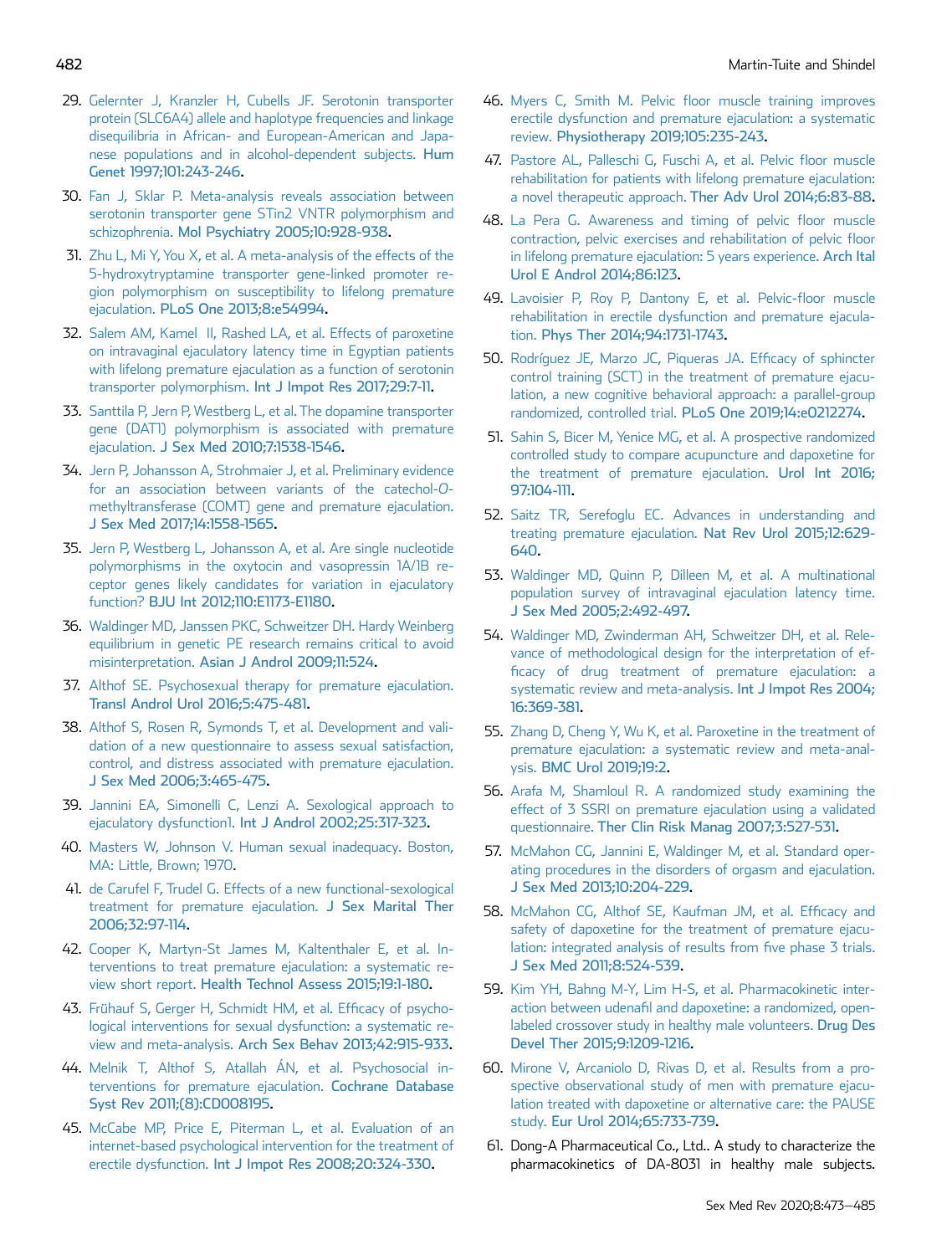- 29. [Gelernter J, Kranzler H, Cubells JF. Serotonin transporter](http://refhub.elsevier.com/S2050-0521(19)30095-2/sref29) [protein \(SLC6A4\) allele and haplotype frequencies and linkage](http://refhub.elsevier.com/S2050-0521(19)30095-2/sref29) [disequilibria in African- and European-American and Japa](http://refhub.elsevier.com/S2050-0521(19)30095-2/sref29)[nese populations and in alcohol-dependent subjects.](http://refhub.elsevier.com/S2050-0521(19)30095-2/sref29) Hum [Genet 1997;101:243-246.](http://refhub.elsevier.com/S2050-0521(19)30095-2/sref29)
- 30. [Fan J, Sklar P. Meta-analysis reveals association between](http://refhub.elsevier.com/S2050-0521(19)30095-2/sref30) [serotonin transporter gene STin2 VNTR polymorphism and](http://refhub.elsevier.com/S2050-0521(19)30095-2/sref30) schizophrenia. [Mol Psychiatry 2005;10:928-938.](http://refhub.elsevier.com/S2050-0521(19)30095-2/sref30)
- 31. [Zhu L, Mi Y, You X, et al. A meta-analysis of the effects of the](http://refhub.elsevier.com/S2050-0521(19)30095-2/sref31) [5-hydroxytryptamine transporter gene-linked promoter re](http://refhub.elsevier.com/S2050-0521(19)30095-2/sref31)[gion polymorphism on susceptibility to lifelong premature](http://refhub.elsevier.com/S2050-0521(19)30095-2/sref31) ejaculation. [PLoS One 2013;8:e54994.](http://refhub.elsevier.com/S2050-0521(19)30095-2/sref31)
- <span id="page-9-0"></span>32. [Salem AM, Kamel II, Rashed LA, et al. Effects of paroxetine](http://refhub.elsevier.com/S2050-0521(19)30095-2/sref32) [on intravaginal ejaculatory latency time in Egyptian patients](http://refhub.elsevier.com/S2050-0521(19)30095-2/sref32) [with lifelong premature ejaculation as a function of serotonin](http://refhub.elsevier.com/S2050-0521(19)30095-2/sref32) transporter polymorphism. [Int J Impot Res 2017;29:7-11.](http://refhub.elsevier.com/S2050-0521(19)30095-2/sref32)
- <span id="page-9-1"></span>33. [Santtila P, Jern P, Westberg L, et al. The dopamine transporter](http://refhub.elsevier.com/S2050-0521(19)30095-2/sref33) [gene \(DAT1\) polymorphism is associated with premature](http://refhub.elsevier.com/S2050-0521(19)30095-2/sref33) ejaculation. [J Sex Med 2010;7:1538-1546.](http://refhub.elsevier.com/S2050-0521(19)30095-2/sref33)
- <span id="page-9-2"></span>34. [Jern P, Johansson A, Strohmaier J, et al. Preliminary evidence](http://refhub.elsevier.com/S2050-0521(19)30095-2/sref34) [for an association between variants of the catechol-](http://refhub.elsevier.com/S2050-0521(19)30095-2/sref34)O[methyltransferase \(COMT\) gene and premature ejaculation.](http://refhub.elsevier.com/S2050-0521(19)30095-2/sref34) [J Sex Med 2017;14:1558-1565.](http://refhub.elsevier.com/S2050-0521(19)30095-2/sref34)
- <span id="page-9-3"></span>35. [Jern P, Westberg L, Johansson A, et al. Are single nucleotide](http://refhub.elsevier.com/S2050-0521(19)30095-2/sref35) [polymorphisms in the oxytocin and vasopressin 1A/1B re](http://refhub.elsevier.com/S2050-0521(19)30095-2/sref35)[ceptor genes likely candidates for variation in ejaculatory](http://refhub.elsevier.com/S2050-0521(19)30095-2/sref35) function? [BJU Int 2012;110:E1173-E1180.](http://refhub.elsevier.com/S2050-0521(19)30095-2/sref35)
- <span id="page-9-4"></span>36. [Waldinger MD, Janssen PKC, Schweitzer DH. Hardy Weinberg](http://refhub.elsevier.com/S2050-0521(19)30095-2/sref36) [equilibrium in genetic PE research remains critical to avoid](http://refhub.elsevier.com/S2050-0521(19)30095-2/sref36) misinterpretation. [Asian J Androl 2009;11:524](http://refhub.elsevier.com/S2050-0521(19)30095-2/sref36).
- <span id="page-9-5"></span>37. [Althof SE. Psychosexual therapy for premature ejaculation.](http://refhub.elsevier.com/S2050-0521(19)30095-2/sref37) [Transl Androl Urol 2016;5:475-481](http://refhub.elsevier.com/S2050-0521(19)30095-2/sref37).
- 38. [Althof S, Rosen R, Symonds T, et al. Development and vali](http://refhub.elsevier.com/S2050-0521(19)30095-2/sref38)[dation of a new questionnaire to assess sexual satisfaction,](http://refhub.elsevier.com/S2050-0521(19)30095-2/sref38) [control, and distress associated with premature ejaculation.](http://refhub.elsevier.com/S2050-0521(19)30095-2/sref38) [J Sex Med 2006;3:465-475.](http://refhub.elsevier.com/S2050-0521(19)30095-2/sref38)
- 39. [Jannini EA, Simonelli C, Lenzi A. Sexological approach to](http://refhub.elsevier.com/S2050-0521(19)30095-2/sref39) ejaculatory dysfunction1. [Int J Androl 2002;25:317-323](http://refhub.elsevier.com/S2050-0521(19)30095-2/sref39).
- <span id="page-9-6"></span>40. [Masters W, Johnson V. Human sexual inadequacy. Boston,](http://refhub.elsevier.com/S2050-0521(19)30095-2/sref40) [MA: Little, Brown; 1970](http://refhub.elsevier.com/S2050-0521(19)30095-2/sref40).
- <span id="page-9-7"></span>41. [de Carufel F, Trudel G. Effects of a new functional-sexological](http://refhub.elsevier.com/S2050-0521(19)30095-2/sref41) [treatment for premature ejaculation.](http://refhub.elsevier.com/S2050-0521(19)30095-2/sref41) J Sex Marital Ther [2006;32:97-114](http://refhub.elsevier.com/S2050-0521(19)30095-2/sref41).
- <span id="page-9-8"></span>42. [Cooper K, Martyn-St James M, Kaltenthaler E, et al. In](http://refhub.elsevier.com/S2050-0521(19)30095-2/sref42)[terventions to treat premature ejaculation: a systematic re](http://refhub.elsevier.com/S2050-0521(19)30095-2/sref42)view short report. [Health Technol Assess 2015;19:1-180.](http://refhub.elsevier.com/S2050-0521(19)30095-2/sref42)
- 43. [Frühauf S, Gerger H, Schmidt HM, et al. Ef](http://refhub.elsevier.com/S2050-0521(19)30095-2/sref43)ficacy of psycho[logical interventions for sexual dysfunction: a systematic re](http://refhub.elsevier.com/S2050-0521(19)30095-2/sref43)view and meta-analysis. [Arch Sex Behav 2013;42:915-933](http://refhub.elsevier.com/S2050-0521(19)30095-2/sref43).
- 44. [Melnik T, Althof S, Atallah ÁN, et al. Psychosocial in](http://refhub.elsevier.com/S2050-0521(19)30095-2/sref44)[terventions for premature ejaculation.](http://refhub.elsevier.com/S2050-0521(19)30095-2/sref44) Cochrane Database [Syst Rev 2011;\(8\):CD008195](http://refhub.elsevier.com/S2050-0521(19)30095-2/sref44).
- <span id="page-9-9"></span>45. [McCabe MP, Price E, Piterman L, et al. Evaluation of an](http://refhub.elsevier.com/S2050-0521(19)30095-2/sref45) [internet-based psychological intervention for the treatment of](http://refhub.elsevier.com/S2050-0521(19)30095-2/sref45) erectile dysfunction. [Int J Impot Res 2008;20:324-330](http://refhub.elsevier.com/S2050-0521(19)30095-2/sref45).
- <span id="page-9-10"></span>46. Myers C, Smith M. Pelvic fl[oor muscle training improves](http://refhub.elsevier.com/S2050-0521(19)30095-2/sref46) [erectile dysfunction and premature ejaculation: a systematic](http://refhub.elsevier.com/S2050-0521(19)30095-2/sref46) review. [Physiotherapy 2019;105:235-243.](http://refhub.elsevier.com/S2050-0521(19)30095-2/sref46)
- <span id="page-9-11"></span>47. [Pastore AL, Palleschi G, Fuschi A, et al. Pelvic](http://refhub.elsevier.com/S2050-0521(19)30095-2/sref47) floor muscle [rehabilitation for patients with lifelong premature ejaculation:](http://refhub.elsevier.com/S2050-0521(19)30095-2/sref47) a novel therapeutic approach. [Ther Adv Urol 2014;6:83-88.](http://refhub.elsevier.com/S2050-0521(19)30095-2/sref47)
- <span id="page-9-12"></span>48. [La Pera G. Awareness and timing of pelvic](http://refhub.elsevier.com/S2050-0521(19)30095-2/sref48) floor muscle [contraction, pelvic exercises and rehabilitation of pelvic](http://refhub.elsevier.com/S2050-0521(19)30095-2/sref48) floor [in lifelong premature ejaculation: 5 years experience.](http://refhub.elsevier.com/S2050-0521(19)30095-2/sref48) Arch Ital [Urol E Androl 2014;86:123](http://refhub.elsevier.com/S2050-0521(19)30095-2/sref48).
- 49. [Lavoisier P, Roy P, Dantony E, et al. Pelvic-](http://refhub.elsevier.com/S2050-0521(19)30095-2/sref49)floor muscle [rehabilitation in erectile dysfunction and premature ejacula](http://refhub.elsevier.com/S2050-0521(19)30095-2/sref49)tion. [Phys Ther 2014;94:1731-1743.](http://refhub.elsevier.com/S2050-0521(19)30095-2/sref49)
- <span id="page-9-13"></span>50. [Rodríguez JE, Marzo JC, Piqueras JA. Ef](http://refhub.elsevier.com/S2050-0521(19)30095-2/sref50)ficacy of sphincter [control training \(SCT\) in the treatment of premature ejacu](http://refhub.elsevier.com/S2050-0521(19)30095-2/sref50)[lation, a new cognitive behavioral approach: a parallel-group](http://refhub.elsevier.com/S2050-0521(19)30095-2/sref50) randomized, controlled trial. [PLoS One 2019;14:e0212274.](http://refhub.elsevier.com/S2050-0521(19)30095-2/sref50)
- <span id="page-9-14"></span>51. [Sahin S, Bicer M, Yenice MG, et al. A prospective randomized](http://refhub.elsevier.com/S2050-0521(19)30095-2/sref51) [controlled study to compare acupuncture and dapoxetine for](http://refhub.elsevier.com/S2050-0521(19)30095-2/sref51) [the treatment of premature ejaculation.](http://refhub.elsevier.com/S2050-0521(19)30095-2/sref51) Urol Int 2016; [97:104-111](http://refhub.elsevier.com/S2050-0521(19)30095-2/sref51).
- <span id="page-9-15"></span>52. [Saitz TR, Serefoglu EC. Advances in understanding and](http://refhub.elsevier.com/S2050-0521(19)30095-2/sref52) [treating premature ejaculation.](http://refhub.elsevier.com/S2050-0521(19)30095-2/sref52) Nat Rev Urol 2015;12:629- [640](http://refhub.elsevier.com/S2050-0521(19)30095-2/sref52).
- <span id="page-9-16"></span>53. [Waldinger MD, Quinn P, Dilleen M, et al. A multinational](http://refhub.elsevier.com/S2050-0521(19)30095-2/sref53) [population survey of intravaginal ejaculation latency time.](http://refhub.elsevier.com/S2050-0521(19)30095-2/sref53) [J Sex Med 2005;2:492-497.](http://refhub.elsevier.com/S2050-0521(19)30095-2/sref53)
- <span id="page-9-17"></span>54. [Waldinger MD, Zwinderman AH, Schweitzer DH, et al. Rele](http://refhub.elsevier.com/S2050-0521(19)30095-2/sref54)[vance of methodological design for the interpretation of ef](http://refhub.elsevier.com/S2050-0521(19)30095-2/sref54)fi[cacy of drug treatment of premature ejaculation: a](http://refhub.elsevier.com/S2050-0521(19)30095-2/sref54) [systematic review and meta-analysis.](http://refhub.elsevier.com/S2050-0521(19)30095-2/sref54) Int J Impot Res 2004; [16:369-381.](http://refhub.elsevier.com/S2050-0521(19)30095-2/sref54)
- <span id="page-9-18"></span>55. [Zhang D, Cheng Y, Wu K, et al. Paroxetine in the treatment of](http://refhub.elsevier.com/S2050-0521(19)30095-2/sref55) [premature ejaculation: a systematic review and meta-anal](http://refhub.elsevier.com/S2050-0521(19)30095-2/sref55)ysis. [BMC Urol 2019;19:2.](http://refhub.elsevier.com/S2050-0521(19)30095-2/sref55)
- <span id="page-9-19"></span>56. [Arafa M, Shamloul R. A randomized study examining the](http://refhub.elsevier.com/S2050-0521(19)30095-2/sref56) [effect of 3 SSRI on premature ejaculation using a validated](http://refhub.elsevier.com/S2050-0521(19)30095-2/sref56) questionnaire. [Ther Clin Risk Manag 2007;3:527-531](http://refhub.elsevier.com/S2050-0521(19)30095-2/sref56).
- <span id="page-9-20"></span>57. [McMahon CG, Jannini E, Waldinger M, et al. Standard oper](http://refhub.elsevier.com/S2050-0521(19)30095-2/sref57)[ating procedures in the disorders of orgasm and ejaculation.](http://refhub.elsevier.com/S2050-0521(19)30095-2/sref57) [J Sex Med 2013;10:204-229.](http://refhub.elsevier.com/S2050-0521(19)30095-2/sref57)
- <span id="page-9-21"></span>58. [McMahon CG, Althof SE, Kaufman JM, et al. Ef](http://refhub.elsevier.com/S2050-0521(19)30095-2/sref58)ficacy and [safety of dapoxetine for the treatment of premature ejacu](http://refhub.elsevier.com/S2050-0521(19)30095-2/sref58)[lation: integrated analysis of results from](http://refhub.elsevier.com/S2050-0521(19)30095-2/sref58) five phase 3 trials. [J Sex Med 2011;8:524-539](http://refhub.elsevier.com/S2050-0521(19)30095-2/sref58).
- <span id="page-9-22"></span>59. [Kim YH, Bahng M-Y, Lim H-S, et al. Pharmacokinetic inter](http://refhub.elsevier.com/S2050-0521(19)30095-2/sref59)action between udenafi[l and dapoxetine: a randomized, open](http://refhub.elsevier.com/S2050-0521(19)30095-2/sref59)[labeled crossover study in healthy male volunteers.](http://refhub.elsevier.com/S2050-0521(19)30095-2/sref59) Drug Des [Devel Ther 2015;9:1209-1216.](http://refhub.elsevier.com/S2050-0521(19)30095-2/sref59)
- <span id="page-9-23"></span>60. [Mirone V, Arcaniolo D, Rivas D, et al. Results from a pro](http://refhub.elsevier.com/S2050-0521(19)30095-2/sref60)[spective observational study of men with premature ejacu](http://refhub.elsevier.com/S2050-0521(19)30095-2/sref60)[lation treated with dapoxetine or alternative care: the PAUSE](http://refhub.elsevier.com/S2050-0521(19)30095-2/sref60) study. [Eur Urol 2014;65:733-739](http://refhub.elsevier.com/S2050-0521(19)30095-2/sref60).
- <span id="page-9-24"></span>61. Dong-A Pharmaceutical Co., Ltd.. A study to characterize the pharmacokinetics of DA-8031 in healthy male subjects.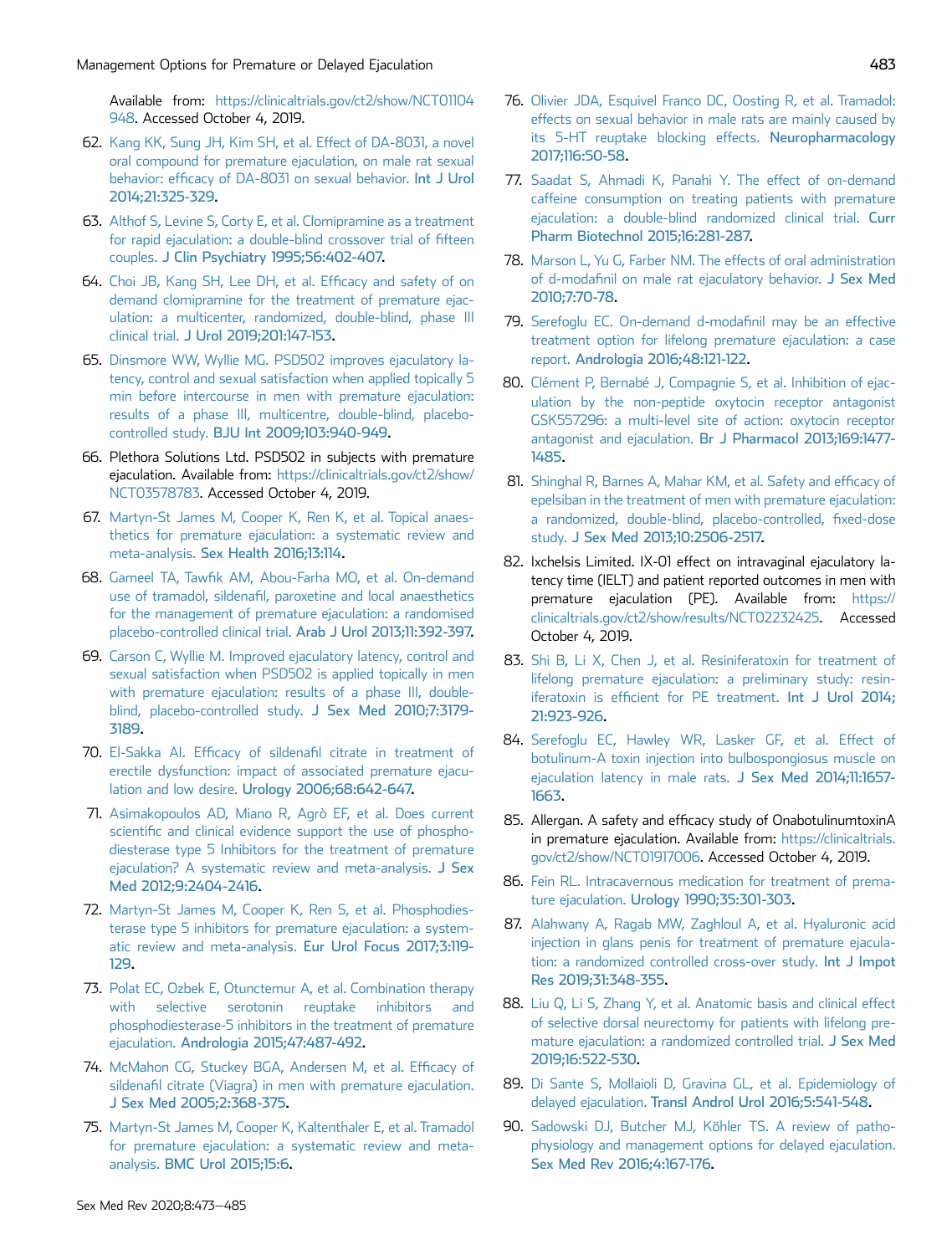Available from: [https://clinicaltrials.gov/ct2/show/NCT01104](https://clinicaltrials.gov/ct2/show/NCT01104948) [948](https://clinicaltrials.gov/ct2/show/NCT01104948). Accessed October 4, 2019.

- <span id="page-10-0"></span>62. [Kang KK, Sung JH, Kim SH, et al. Effect of DA-8031, a novel](http://refhub.elsevier.com/S2050-0521(19)30095-2/sref62) [oral compound for premature ejaculation, on male rat sexual](http://refhub.elsevier.com/S2050-0521(19)30095-2/sref62) behavior: effi[cacy of DA-8031 on sexual behavior.](http://refhub.elsevier.com/S2050-0521(19)30095-2/sref62) Int J Urol [2014;21:325-329.](http://refhub.elsevier.com/S2050-0521(19)30095-2/sref62)
- <span id="page-10-1"></span>63. [Althof S, Levine S, Corty E, et al. Clomipramine as a treatment](http://refhub.elsevier.com/S2050-0521(19)30095-2/sref63) [for rapid ejaculation: a double-blind crossover trial of](http://refhub.elsevier.com/S2050-0521(19)30095-2/sref63) fifteen couples. [J Clin Psychiatry 1995;56:402-407.](http://refhub.elsevier.com/S2050-0521(19)30095-2/sref63)
- <span id="page-10-2"></span>64. [Choi JB, Kang SH, Lee DH, et al. Ef](http://refhub.elsevier.com/S2050-0521(19)30095-2/sref64)ficacy and safety of on [demand clomipramine for the treatment of premature ejac](http://refhub.elsevier.com/S2050-0521(19)30095-2/sref64)[ulation: a multicenter, randomized, double-blind, phase III](http://refhub.elsevier.com/S2050-0521(19)30095-2/sref64) clinical trial. [J Urol 2019;201:147-153.](http://refhub.elsevier.com/S2050-0521(19)30095-2/sref64)
- <span id="page-10-3"></span>65. [Dinsmore WW, Wyllie MG. PSD502 improves ejaculatory la](http://refhub.elsevier.com/S2050-0521(19)30095-2/sref65)[tency, control and sexual satisfaction when applied topically 5](http://refhub.elsevier.com/S2050-0521(19)30095-2/sref65) [min before intercourse in men with premature ejaculation:](http://refhub.elsevier.com/S2050-0521(19)30095-2/sref65) [results of a phase III, multicentre, double-blind, placebo](http://refhub.elsevier.com/S2050-0521(19)30095-2/sref65)controlled study. [BJU Int 2009;103:940-949.](http://refhub.elsevier.com/S2050-0521(19)30095-2/sref65)
- <span id="page-10-4"></span>66. Plethora Solutions Ltd. PSD502 in subjects with premature ejaculation. Available from: [https://clinicaltrials.gov/ct2/show/](https://clinicaltrials.gov/ct2/show/NCT03578783) [NCT03578783.](https://clinicaltrials.gov/ct2/show/NCT03578783) Accessed October 4, 2019.
- <span id="page-10-5"></span>67. [Martyn-St James M, Cooper K, Ren K, et al. Topical anaes](http://refhub.elsevier.com/S2050-0521(19)30095-2/sref67)[thetics for premature ejaculation: a systematic review and](http://refhub.elsevier.com/S2050-0521(19)30095-2/sref67) meta-analysis. [Sex Health 2016;13:114.](http://refhub.elsevier.com/S2050-0521(19)30095-2/sref67)
- <span id="page-10-6"></span>68. Gameel TA, Tawfi[k AM, Abou-Farha MO, et al. On-demand](http://refhub.elsevier.com/S2050-0521(19)30095-2/sref68) use of tramadol, sildenafi[l, paroxetine and local anaesthetics](http://refhub.elsevier.com/S2050-0521(19)30095-2/sref68) [for the management of premature ejaculation: a randomised](http://refhub.elsevier.com/S2050-0521(19)30095-2/sref68) [placebo-controlled clinical trial.](http://refhub.elsevier.com/S2050-0521(19)30095-2/sref68) Arab J Urol 2013;11:392-397.
- <span id="page-10-7"></span>69. [Carson C, Wyllie M. Improved ejaculatory latency, control and](http://refhub.elsevier.com/S2050-0521(19)30095-2/sref69) [sexual satisfaction when PSD502 is applied topically in men](http://refhub.elsevier.com/S2050-0521(19)30095-2/sref69) [with premature ejaculation: results of a phase III, double](http://refhub.elsevier.com/S2050-0521(19)30095-2/sref69)[blind, placebo-controlled study.](http://refhub.elsevier.com/S2050-0521(19)30095-2/sref69) J Sex Med 2010;7:3179- [3189](http://refhub.elsevier.com/S2050-0521(19)30095-2/sref69).
- <span id="page-10-8"></span>70. El-Sakka AI. Efficacy of sildenafi[l citrate in treatment of](http://refhub.elsevier.com/S2050-0521(19)30095-2/sref70) [erectile dysfunction: impact of associated premature ejacu](http://refhub.elsevier.com/S2050-0521(19)30095-2/sref70)lation and low desire. [Urology 2006;68:642-647.](http://refhub.elsevier.com/S2050-0521(19)30095-2/sref70)
- <span id="page-10-9"></span>71. [Asimakopoulos AD, Miano R, Agrò EF, et al. Does current](http://refhub.elsevier.com/S2050-0521(19)30095-2/sref71) scientifi[c and clinical evidence support the use of phospho](http://refhub.elsevier.com/S2050-0521(19)30095-2/sref71)[diesterase type 5 Inhibitors for the treatment of premature](http://refhub.elsevier.com/S2050-0521(19)30095-2/sref71) [ejaculation? A systematic review and meta-analysis.](http://refhub.elsevier.com/S2050-0521(19)30095-2/sref71) J Sex [Med 2012;9:2404-2416.](http://refhub.elsevier.com/S2050-0521(19)30095-2/sref71)
- <span id="page-10-10"></span>72. [Martyn-St James M, Cooper K, Ren S, et al. Phosphodies](http://refhub.elsevier.com/S2050-0521(19)30095-2/sref72)[terase type 5 inhibitors for premature ejaculation: a system](http://refhub.elsevier.com/S2050-0521(19)30095-2/sref72)[atic review and meta-analysis.](http://refhub.elsevier.com/S2050-0521(19)30095-2/sref72) Eur Urol Focus 2017;3:119- [129.](http://refhub.elsevier.com/S2050-0521(19)30095-2/sref72)
- <span id="page-10-11"></span>73. [Polat EC, Ozbek E, Otunctemur A, et al. Combination therapy](http://refhub.elsevier.com/S2050-0521(19)30095-2/sref73) [with selective serotonin reuptake inhibitors and](http://refhub.elsevier.com/S2050-0521(19)30095-2/sref73) [phosphodiesterase-5 inhibitors in the treatment of premature](http://refhub.elsevier.com/S2050-0521(19)30095-2/sref73) ejaculation. [Andrologia 2015;47:487-492.](http://refhub.elsevier.com/S2050-0521(19)30095-2/sref73)
- <span id="page-10-13"></span><span id="page-10-12"></span>74. [McMahon CG, Stuckey BGA, Andersen M, et al. Ef](http://refhub.elsevier.com/S2050-0521(19)30095-2/sref74)ficacy of sildenafi[l citrate \(Viagra\) in men with premature ejaculation.](http://refhub.elsevier.com/S2050-0521(19)30095-2/sref74) [J Sex Med 2005;2:368-375](http://refhub.elsevier.com/S2050-0521(19)30095-2/sref74).
- 75. [Martyn-St James M, Cooper K, Kaltenthaler E, et al. Tramadol](http://refhub.elsevier.com/S2050-0521(19)30095-2/sref75) [for premature ejaculation: a systematic review and meta](http://refhub.elsevier.com/S2050-0521(19)30095-2/sref75)analysis. [BMC Urol 2015;15:6](http://refhub.elsevier.com/S2050-0521(19)30095-2/sref75).
- <span id="page-10-14"></span>76. [Olivier JDA, Esquivel Franco DC, Oosting R, et al. Tramadol:](http://refhub.elsevier.com/S2050-0521(19)30095-2/sref76) [effects on sexual behavior in male rats are mainly caused by](http://refhub.elsevier.com/S2050-0521(19)30095-2/sref76) [its 5-HT reuptake blocking effects.](http://refhub.elsevier.com/S2050-0521(19)30095-2/sref76) Neuropharmacology [2017;116:50-58.](http://refhub.elsevier.com/S2050-0521(19)30095-2/sref76)
- <span id="page-10-15"></span>77. [Saadat S, Ahmadi K, Panahi Y. The effect of on-demand](http://refhub.elsevier.com/S2050-0521(19)30095-2/sref77) [caffeine consumption on treating patients with premature](http://refhub.elsevier.com/S2050-0521(19)30095-2/sref77) [ejaculation: a double-blind randomized clinical trial.](http://refhub.elsevier.com/S2050-0521(19)30095-2/sref77) Curr [Pharm Biotechnol 2015;16:281-287.](http://refhub.elsevier.com/S2050-0521(19)30095-2/sref77)
- <span id="page-10-16"></span>78. [Marson L, Yu G, Farber NM. The effects of oral administration](http://refhub.elsevier.com/S2050-0521(19)30095-2/sref78) of d-modafi[nil on male rat ejaculatory behavior.](http://refhub.elsevier.com/S2050-0521(19)30095-2/sref78) J Sex Med [2010;7:70-78](http://refhub.elsevier.com/S2050-0521(19)30095-2/sref78).
- <span id="page-10-17"></span>79. [Serefoglu EC. On-demand d-moda](http://refhub.elsevier.com/S2050-0521(19)30095-2/sref79)finil may be an effective [treatment option for lifelong premature ejaculation: a case](http://refhub.elsevier.com/S2050-0521(19)30095-2/sref79) report. [Andrologia 2016;48:121-122.](http://refhub.elsevier.com/S2050-0521(19)30095-2/sref79)
- <span id="page-10-18"></span>80. [Clément P, Bernabé J, Compagnie S, et al. Inhibition of ejac](http://refhub.elsevier.com/S2050-0521(19)30095-2/sref80)[ulation by the non-peptide oxytocin receptor antagonist](http://refhub.elsevier.com/S2050-0521(19)30095-2/sref80) [GSK557296: a multi-level site of action: oxytocin receptor](http://refhub.elsevier.com/S2050-0521(19)30095-2/sref80) antagonist and ejaculation. [Br J Pharmacol 2013;169:1477-](http://refhub.elsevier.com/S2050-0521(19)30095-2/sref80) [1485](http://refhub.elsevier.com/S2050-0521(19)30095-2/sref80).
- <span id="page-10-19"></span>81. [Shinghal R, Barnes A, Mahar KM, et al. Safety and ef](http://refhub.elsevier.com/S2050-0521(19)30095-2/sref81)ficacy of [epelsiban in the treatment of men with premature ejaculation:](http://refhub.elsevier.com/S2050-0521(19)30095-2/sref81) [a randomized, double-blind, placebo-controlled,](http://refhub.elsevier.com/S2050-0521(19)30095-2/sref81) fixed-dose study. [J Sex Med 2013;10:2506-2517.](http://refhub.elsevier.com/S2050-0521(19)30095-2/sref81)
- <span id="page-10-20"></span>82. Ixchelsis Limited. IX-01 effect on intravaginal ejaculatory latency time (IELT) and patient reported outcomes in men with premature ejaculation (PE). Available from: [https://](https://clinicaltrials.gov/ct2/show/results/NCT02232425) [clinicaltrials.gov/ct2/show/results/NCT02232425](https://clinicaltrials.gov/ct2/show/results/NCT02232425). Accessed October 4, 2019.
- <span id="page-10-21"></span>83. [Shi B, Li X, Chen J, et al. Resiniferatoxin for treatment of](http://refhub.elsevier.com/S2050-0521(19)30095-2/sref83) [lifelong premature ejaculation: a preliminary study: resin](http://refhub.elsevier.com/S2050-0521(19)30095-2/sref83)iferatoxin is effi[cient for PE treatment.](http://refhub.elsevier.com/S2050-0521(19)30095-2/sref83) Int J Urol 2014; [21:923-926](http://refhub.elsevier.com/S2050-0521(19)30095-2/sref83).
- <span id="page-10-22"></span>84. [Serefoglu EC, Hawley WR, Lasker GF, et al. Effect of](http://refhub.elsevier.com/S2050-0521(19)30095-2/sref84) [botulinum-A toxin injection into bulbospongiosus muscle on](http://refhub.elsevier.com/S2050-0521(19)30095-2/sref84) [ejaculation latency in male rats.](http://refhub.elsevier.com/S2050-0521(19)30095-2/sref84) J Sex Med 2014;11:1657- [1663](http://refhub.elsevier.com/S2050-0521(19)30095-2/sref84).
- <span id="page-10-24"></span><span id="page-10-23"></span>85. Allergan. A safety and efficacy study of OnabotulinumtoxinA in premature ejaculation. Available from: [https://clinicaltrials.](https://clinicaltrials.gov/ct2/show/NCT01917006) [gov/ct2/show/NCT01917006.](https://clinicaltrials.gov/ct2/show/NCT01917006) Accessed October 4, 2019.
- <span id="page-10-25"></span>86. [Fein RL. Intracavernous medication for treatment of prema](http://refhub.elsevier.com/S2050-0521(19)30095-2/sref86)ture ejaculation. [Urology 1990;35:301-303.](http://refhub.elsevier.com/S2050-0521(19)30095-2/sref86)
- <span id="page-10-26"></span>87. [Alahwany A, Ragab MW, Zaghloul A, et al. Hyaluronic acid](http://refhub.elsevier.com/S2050-0521(19)30095-2/sref87) [injection in glans penis for treatment of premature ejacula](http://refhub.elsevier.com/S2050-0521(19)30095-2/sref87)[tion: a randomized controlled cross-over study.](http://refhub.elsevier.com/S2050-0521(19)30095-2/sref87) Int J Impot [Res 2019;31:348-355.](http://refhub.elsevier.com/S2050-0521(19)30095-2/sref87)
- <span id="page-10-27"></span>88. [Liu Q, Li S, Zhang Y, et al. Anatomic basis and clinical effect](http://refhub.elsevier.com/S2050-0521(19)30095-2/sref88) [of selective dorsal neurectomy for patients with lifelong pre](http://refhub.elsevier.com/S2050-0521(19)30095-2/sref88)[mature ejaculation: a randomized controlled trial.](http://refhub.elsevier.com/S2050-0521(19)30095-2/sref88) J Sex Med [2019;16:522-530](http://refhub.elsevier.com/S2050-0521(19)30095-2/sref88).
- <span id="page-10-28"></span>89. [Di Sante S, Mollaioli D, Gravina GL, et al. Epidemiology of](http://refhub.elsevier.com/S2050-0521(19)30095-2/sref89) delayed ejaculation. [Transl Androl Urol 2016;5:541-548.](http://refhub.elsevier.com/S2050-0521(19)30095-2/sref89)
- 90. [Sadowski DJ, Butcher MJ, Köhler TS. A review of patho](http://refhub.elsevier.com/S2050-0521(19)30095-2/sref90)[physiology and management options for delayed ejaculation.](http://refhub.elsevier.com/S2050-0521(19)30095-2/sref90) [Sex Med Rev 2016;4:167-176](http://refhub.elsevier.com/S2050-0521(19)30095-2/sref90).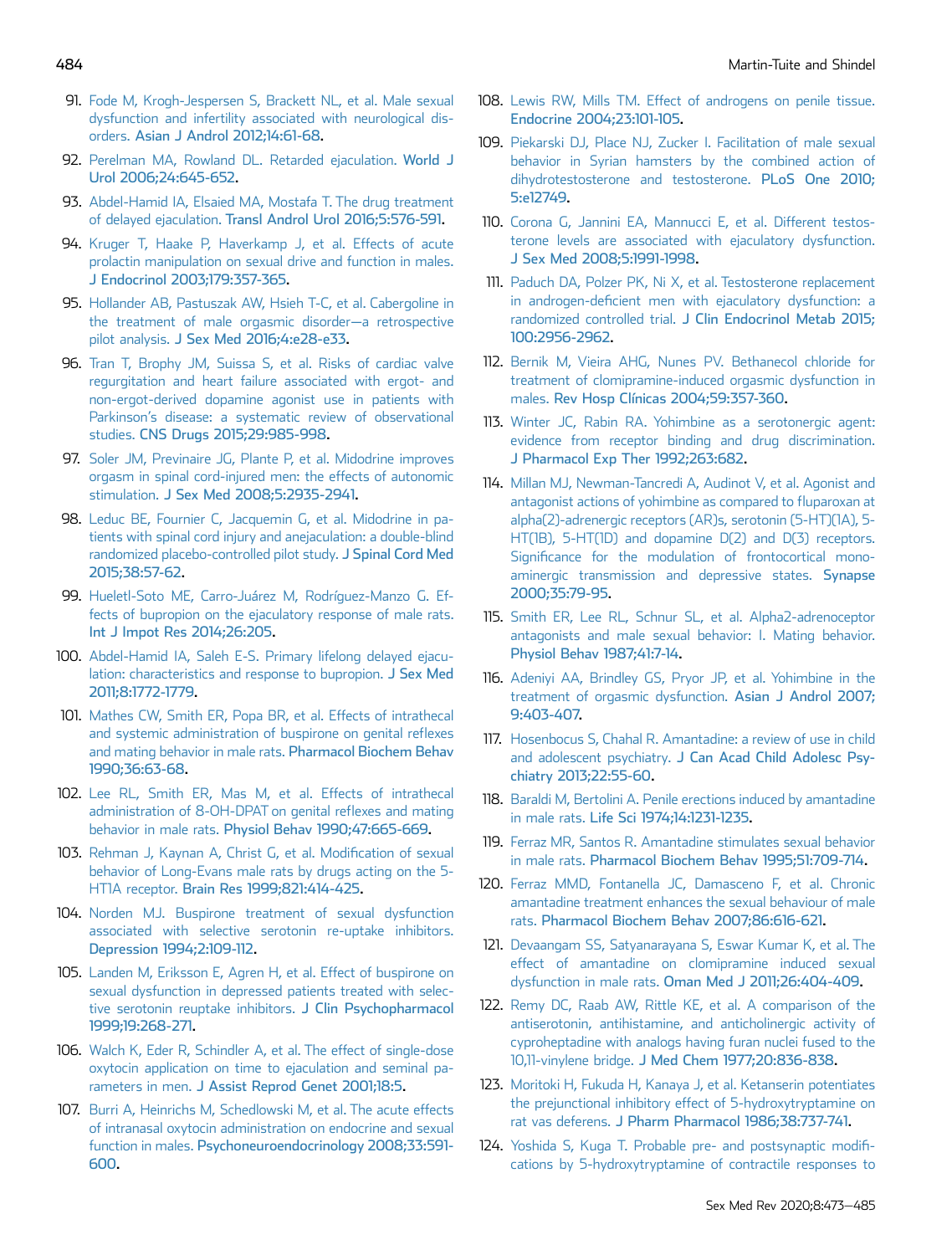- <span id="page-11-0"></span>91. [Fode M, Krogh-Jespersen S, Brackett NL, et al. Male sexual](http://refhub.elsevier.com/S2050-0521(19)30095-2/sref91) [dysfunction and infertility associated with neurological dis](http://refhub.elsevier.com/S2050-0521(19)30095-2/sref91)orders. [Asian J Androl 2012;14:61-68.](http://refhub.elsevier.com/S2050-0521(19)30095-2/sref91)
- <span id="page-11-1"></span>92. [Perelman MA, Rowland DL. Retarded ejaculation.](http://refhub.elsevier.com/S2050-0521(19)30095-2/sref92) World J [Urol 2006;24:645-652.](http://refhub.elsevier.com/S2050-0521(19)30095-2/sref92)
- <span id="page-11-2"></span>93. [Abdel-Hamid IA, Elsaied MA, Mostafa T. The drug treatment](http://refhub.elsevier.com/S2050-0521(19)30095-2/sref93) of delayed ejaculation. [Transl Androl Urol 2016;5:576-591](http://refhub.elsevier.com/S2050-0521(19)30095-2/sref93).
- <span id="page-11-3"></span>94. [Kruger T, Haake P, Haverkamp J, et al. Effects of acute](http://refhub.elsevier.com/S2050-0521(19)30095-2/sref94) [prolactin manipulation on sexual drive and function in males.](http://refhub.elsevier.com/S2050-0521(19)30095-2/sref94) [J Endocrinol 2003;179:357-365](http://refhub.elsevier.com/S2050-0521(19)30095-2/sref94).
- <span id="page-11-4"></span>95. [Hollander AB, Pastuszak AW, Hsieh T-C, et al. Cabergoline in](http://refhub.elsevier.com/S2050-0521(19)30095-2/sref95) [the treatment of male orgasmic disorder](http://refhub.elsevier.com/S2050-0521(19)30095-2/sref95)—[a retrospective](http://refhub.elsevier.com/S2050-0521(19)30095-2/sref95) pilot analysis. [J Sex Med 2016;4:e28-e33.](http://refhub.elsevier.com/S2050-0521(19)30095-2/sref95)
- <span id="page-11-5"></span>96. [Tran T, Brophy JM, Suissa S, et al. Risks of cardiac valve](http://refhub.elsevier.com/S2050-0521(19)30095-2/sref96) [regurgitation and heart failure associated with ergot- and](http://refhub.elsevier.com/S2050-0521(19)30095-2/sref96) [non-ergot-derived dopamine agonist use in patients with](http://refhub.elsevier.com/S2050-0521(19)30095-2/sref96) Parkinson'[s disease: a systematic review of observational](http://refhub.elsevier.com/S2050-0521(19)30095-2/sref96) studies. [CNS Drugs 2015;29:985-998.](http://refhub.elsevier.com/S2050-0521(19)30095-2/sref96)
- <span id="page-11-6"></span>97. [Soler JM, Previnaire JG, Plante P, et al. Midodrine improves](http://refhub.elsevier.com/S2050-0521(19)30095-2/sref97) [orgasm in spinal cord-injured men: the effects of autonomic](http://refhub.elsevier.com/S2050-0521(19)30095-2/sref97) stimulation. [J Sex Med 2008;5:2935-2941](http://refhub.elsevier.com/S2050-0521(19)30095-2/sref97).
- <span id="page-11-7"></span>98. [Leduc BE, Fournier C, Jacquemin G, et al. Midodrine in pa](http://refhub.elsevier.com/S2050-0521(19)30095-2/sref98)[tients with spinal cord injury and anejaculation: a double-blind](http://refhub.elsevier.com/S2050-0521(19)30095-2/sref98) [randomized placebo-controlled pilot study.](http://refhub.elsevier.com/S2050-0521(19)30095-2/sref98) J Spinal Cord Med [2015;38:57-62](http://refhub.elsevier.com/S2050-0521(19)30095-2/sref98).
- <span id="page-11-8"></span>99. [Hueletl-Soto ME, Carro-Juárez M, Rodríguez-Manzo G. Ef](http://refhub.elsevier.com/S2050-0521(19)30095-2/sref99)[fects of bupropion on the ejaculatory response of male rats.](http://refhub.elsevier.com/S2050-0521(19)30095-2/sref99) [Int J Impot Res 2014;26:205.](http://refhub.elsevier.com/S2050-0521(19)30095-2/sref99)
- <span id="page-11-9"></span>100. [Abdel-Hamid IA, Saleh E-S. Primary lifelong delayed ejacu](http://refhub.elsevier.com/S2050-0521(19)30095-2/sref100)[lation: characteristics and response to bupropion.](http://refhub.elsevier.com/S2050-0521(19)30095-2/sref100) J Sex Med [2011;8:1772-1779](http://refhub.elsevier.com/S2050-0521(19)30095-2/sref100).
- <span id="page-11-10"></span>101. [Mathes CW, Smith ER, Popa BR, et al. Effects of intrathecal](http://refhub.elsevier.com/S2050-0521(19)30095-2/sref101) [and systemic administration of buspirone on genital re](http://refhub.elsevier.com/S2050-0521(19)30095-2/sref101)flexes [and mating behavior in male rats.](http://refhub.elsevier.com/S2050-0521(19)30095-2/sref101) Pharmacol Biochem Behav [1990;36:63-68](http://refhub.elsevier.com/S2050-0521(19)30095-2/sref101).
- 102. [Lee RL, Smith ER, Mas M, et al. Effects of intrathecal](http://refhub.elsevier.com/S2050-0521(19)30095-2/sref102) [administration of 8-OH-DPAT on genital re](http://refhub.elsevier.com/S2050-0521(19)30095-2/sref102)flexes and mating behavior in male rats. [Physiol Behav 1990;47:665-669](http://refhub.elsevier.com/S2050-0521(19)30095-2/sref102).
- 103. [Rehman J, Kaynan A, Christ G, et al. Modi](http://refhub.elsevier.com/S2050-0521(19)30095-2/sref103)fication of sexual [behavior of Long-Evans male rats by drugs acting on the 5-](http://refhub.elsevier.com/S2050-0521(19)30095-2/sref103) HT1A receptor. [Brain Res 1999;821:414-425.](http://refhub.elsevier.com/S2050-0521(19)30095-2/sref103)
- <span id="page-11-11"></span>104. [Norden MJ. Buspirone treatment of sexual dysfunction](http://refhub.elsevier.com/S2050-0521(19)30095-2/sref104) [associated with selective serotonin re-uptake inhibitors.](http://refhub.elsevier.com/S2050-0521(19)30095-2/sref104) [Depression 1994;2:109-112](http://refhub.elsevier.com/S2050-0521(19)30095-2/sref104).
- <span id="page-11-12"></span>105. [Landen M, Eriksson E, Agren H, et al. Effect of buspirone on](http://refhub.elsevier.com/S2050-0521(19)30095-2/sref105) [sexual dysfunction in depressed patients treated with selec](http://refhub.elsevier.com/S2050-0521(19)30095-2/sref105)[tive serotonin reuptake inhibitors.](http://refhub.elsevier.com/S2050-0521(19)30095-2/sref105) J Clin Psychopharmacol [1999;19:268-271.](http://refhub.elsevier.com/S2050-0521(19)30095-2/sref105)
- <span id="page-11-13"></span>106. [Walch K, Eder R, Schindler A, et al. The effect of single-dose](http://refhub.elsevier.com/S2050-0521(19)30095-2/sref106) [oxytocin application on time to ejaculation and seminal pa](http://refhub.elsevier.com/S2050-0521(19)30095-2/sref106)rameters in men. [J Assist Reprod Genet 2001;18:5.](http://refhub.elsevier.com/S2050-0521(19)30095-2/sref106)
- <span id="page-11-14"></span>107. [Burri A, Heinrichs M, Schedlowski M, et al. The acute effects](http://refhub.elsevier.com/S2050-0521(19)30095-2/sref107) [of intranasal oxytocin administration on endocrine and sexual](http://refhub.elsevier.com/S2050-0521(19)30095-2/sref107) function in males. [Psychoneuroendocrinology 2008;33:591-](http://refhub.elsevier.com/S2050-0521(19)30095-2/sref107) [600](http://refhub.elsevier.com/S2050-0521(19)30095-2/sref107).
- <span id="page-11-15"></span>108. [Lewis RW, Mills TM. Effect of androgens on penile tissue.](http://refhub.elsevier.com/S2050-0521(19)30095-2/sref108) [Endocrine 2004;23:101-105](http://refhub.elsevier.com/S2050-0521(19)30095-2/sref108).
- 109. [Piekarski DJ, Place NJ, Zucker I. Facilitation of male sexual](http://refhub.elsevier.com/S2050-0521(19)30095-2/sref109) [behavior in Syrian hamsters by the combined action of](http://refhub.elsevier.com/S2050-0521(19)30095-2/sref109) [dihydrotestosterone and testosterone.](http://refhub.elsevier.com/S2050-0521(19)30095-2/sref109) PLoS One 2010; [5:e12749](http://refhub.elsevier.com/S2050-0521(19)30095-2/sref109).
- 110. [Corona G, Jannini EA, Mannucci E, et al. Different testos](http://refhub.elsevier.com/S2050-0521(19)30095-2/sref110)[terone levels are associated with ejaculatory dysfunction.](http://refhub.elsevier.com/S2050-0521(19)30095-2/sref110) [J Sex Med 2008;5:1991-1998.](http://refhub.elsevier.com/S2050-0521(19)30095-2/sref110)
- <span id="page-11-16"></span>111. [Paduch DA, Polzer PK, Ni X, et al. Testosterone replacement](http://refhub.elsevier.com/S2050-0521(19)30095-2/sref111) in androgen-defi[cient men with ejaculatory dysfunction: a](http://refhub.elsevier.com/S2050-0521(19)30095-2/sref111) randomized controlled trial. [J Clin Endocrinol Metab 2015;](http://refhub.elsevier.com/S2050-0521(19)30095-2/sref111) [100:2956-2962.](http://refhub.elsevier.com/S2050-0521(19)30095-2/sref111)
- <span id="page-11-17"></span>112. [Bernik M, Vieira AHG, Nunes PV. Bethanecol chloride for](http://refhub.elsevier.com/S2050-0521(19)30095-2/sref112) [treatment of clomipramine-induced orgasmic dysfunction in](http://refhub.elsevier.com/S2050-0521(19)30095-2/sref112) males. [Rev Hosp Clínicas 2004;59:357-360](http://refhub.elsevier.com/S2050-0521(19)30095-2/sref112).
- <span id="page-11-18"></span>113. [Winter JC, Rabin RA. Yohimbine as a serotonergic agent:](http://refhub.elsevier.com/S2050-0521(19)30095-2/sref113) [evidence from receptor binding and drug discrimination.](http://refhub.elsevier.com/S2050-0521(19)30095-2/sref113) [J Pharmacol Exp Ther 1992;263:682](http://refhub.elsevier.com/S2050-0521(19)30095-2/sref113).
- 114. [Millan MJ, Newman-Tancredi A, Audinot V, et al. Agonist and](http://refhub.elsevier.com/S2050-0521(19)30095-2/sref114) [antagonist actions of yohimbine as compared to](http://refhub.elsevier.com/S2050-0521(19)30095-2/sref114) fluparoxan at [alpha\(2\)-adrenergic receptors \(AR\)s, serotonin \(5-HT\)\(1A\), 5-](http://refhub.elsevier.com/S2050-0521(19)30095-2/sref114) [HT\(1B\), 5-HT\(1D\) and dopamine D\(2\) and D\(3\) receptors.](http://refhub.elsevier.com/S2050-0521(19)30095-2/sref114) Signifi[cance for the modulation of frontocortical mono](http://refhub.elsevier.com/S2050-0521(19)30095-2/sref114)[aminergic transmission and depressive states.](http://refhub.elsevier.com/S2050-0521(19)30095-2/sref114) Synapse [2000;35:79-95](http://refhub.elsevier.com/S2050-0521(19)30095-2/sref114).
- 115. [Smith ER, Lee RL, Schnur SL, et al. Alpha2-adrenoceptor](http://refhub.elsevier.com/S2050-0521(19)30095-2/sref115) [antagonists and male sexual behavior: I. Mating behavior.](http://refhub.elsevier.com/S2050-0521(19)30095-2/sref115) [Physiol Behav 1987;41:7-14](http://refhub.elsevier.com/S2050-0521(19)30095-2/sref115).
- <span id="page-11-19"></span>116. [Adeniyi AA, Brindley GS, Pryor JP, et al. Yohimbine in the](http://refhub.elsevier.com/S2050-0521(19)30095-2/sref116) [treatment of orgasmic dysfunction.](http://refhub.elsevier.com/S2050-0521(19)30095-2/sref116) Asian J Androl 2007; [9:403-407.](http://refhub.elsevier.com/S2050-0521(19)30095-2/sref116)
- <span id="page-11-20"></span>117. [Hosenbocus S, Chahal R. Amantadine: a review of use in child](http://refhub.elsevier.com/S2050-0521(19)30095-2/sref117) and adolescent psychiatry. [J Can Acad Child Adolesc Psy](http://refhub.elsevier.com/S2050-0521(19)30095-2/sref117)[chiatry 2013;22:55-60](http://refhub.elsevier.com/S2050-0521(19)30095-2/sref117).
- <span id="page-11-21"></span>118. [Baraldi M, Bertolini A. Penile erections induced by amantadine](http://refhub.elsevier.com/S2050-0521(19)30095-2/sref118) in male rats. [Life Sci 1974;14:1231-1235](http://refhub.elsevier.com/S2050-0521(19)30095-2/sref118).
- 119. [Ferraz MR, Santos R. Amantadine stimulates sexual behavior](http://refhub.elsevier.com/S2050-0521(19)30095-2/sref119) in male rats. [Pharmacol Biochem Behav 1995;51:709-714](http://refhub.elsevier.com/S2050-0521(19)30095-2/sref119).
- 120. [Ferraz MMD, Fontanella JC, Damasceno F, et al. Chronic](http://refhub.elsevier.com/S2050-0521(19)30095-2/sref120) [amantadine treatment enhances the sexual behaviour of male](http://refhub.elsevier.com/S2050-0521(19)30095-2/sref120) rats. [Pharmacol Biochem Behav 2007;86:616-621](http://refhub.elsevier.com/S2050-0521(19)30095-2/sref120).
- <span id="page-11-22"></span>121. [Devaangam SS, Satyanarayana S, Eswar Kumar K, et al. The](http://refhub.elsevier.com/S2050-0521(19)30095-2/sref121) [effect of amantadine on clomipramine induced sexual](http://refhub.elsevier.com/S2050-0521(19)30095-2/sref121) dysfunction in male rats. [Oman Med J 2011;26:404-409](http://refhub.elsevier.com/S2050-0521(19)30095-2/sref121).
- 122. [Remy DC, Raab AW, Rittle KE, et al. A comparison of the](http://refhub.elsevier.com/S2050-0521(19)30095-2/sref122) [antiserotonin, antihistamine, and anticholinergic activity of](http://refhub.elsevier.com/S2050-0521(19)30095-2/sref122) [cyproheptadine with analogs having furan nuclei fused to the](http://refhub.elsevier.com/S2050-0521(19)30095-2/sref122) 10,11-vinylene bridge. [J Med Chem 1977;20:836-838](http://refhub.elsevier.com/S2050-0521(19)30095-2/sref122).
- <span id="page-11-23"></span>123. [Moritoki H, Fukuda H, Kanaya J, et al. Ketanserin potentiates](http://refhub.elsevier.com/S2050-0521(19)30095-2/sref123) [the prejunctional inhibitory effect of 5-hydroxytryptamine on](http://refhub.elsevier.com/S2050-0521(19)30095-2/sref123) rat vas deferens. [J Pharm Pharmacol 1986;38:737-741](http://refhub.elsevier.com/S2050-0521(19)30095-2/sref123).
- 124. [Yoshida S, Kuga T. Probable pre- and postsynaptic modi](http://refhub.elsevier.com/S2050-0521(19)30095-2/sref124)fi[cations by 5-hydroxytryptamine of contractile responses to](http://refhub.elsevier.com/S2050-0521(19)30095-2/sref124)